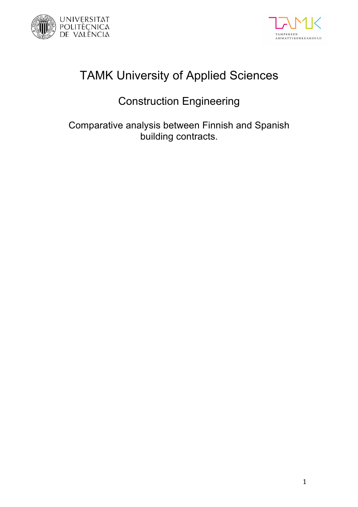



# TAMK University of Applied Sciences

# Construction Engineering

Comparative analysis between Finnish and Spanish building contracts.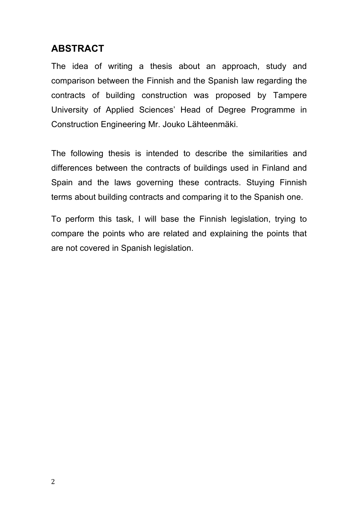## **ABSTRACT**

The idea of writing a thesis about an approach, study and comparison between the Finnish and the Spanish law regarding the contracts of building construction was proposed by Tampere University of Applied Sciences' Head of Degree Programme in Construction Engineering Mr. Jouko Lähteenmäki.

The following thesis is intended to describe the similarities and differences between the contracts of buildings used in Finland and Spain and the laws governing these contracts. Stuying Finnish terms about building contracts and comparing it to the Spanish one.

To perform this task, I will base the Finnish legislation, trying to compare the points who are related and explaining the points that are not covered in Spanish legislation.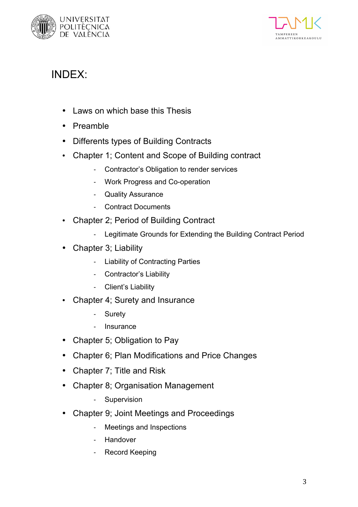



# INDEX:

- Laws on which base this Thesis
- Preamble
- Differents types of Building Contracts
- Chapter 1; Content and Scope of Building contract
	- Contractor's Obligation to render services
	- Work Progress and Co-operation
	- Quality Assurance
	- Contract Documents
- Chapter 2; Period of Building Contract
	- Legitimate Grounds for Extending the Building Contract Period
- Chapter 3; Liability
	- Liability of Contracting Parties
	- Contractor's Liability
	- Client's Liability
- Chapter 4; Surety and Insurance
	- Surety
	- **Insurance**
- Chapter 5; Obligation to Pay
- Chapter 6; Plan Modifications and Price Changes
- Chapter 7; Title and Risk
- Chapter 8; Organisation Management
	- Supervision
- Chapter 9; Joint Meetings and Proceedings
	- Meetings and Inspections
	- Handover
	- Record Keeping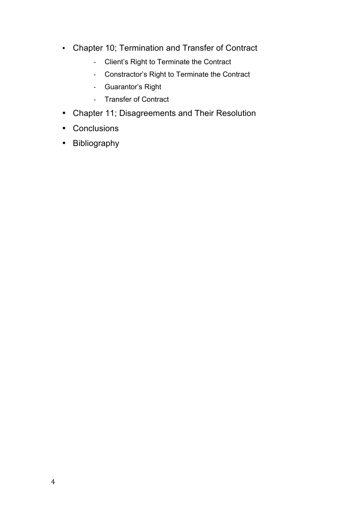- Chapter 10; Termination and Transfer of Contract
	- Client's Right to Terminate the Contract
	- Constractor's Right to Terminate the Contract
	- Guarantor's Right
	- Transfer of Contract
- Chapter 11; Disagreements and Their Resolution
- Conclusions
- Bibliography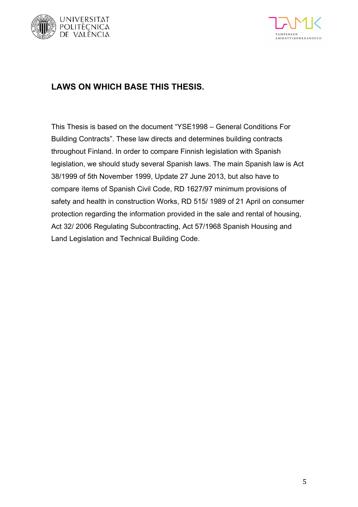



## **LAWS ON WHICH BASE THIS THESIS.**

This Thesis is based on the document "YSE1998 – General Conditions For Building Contracts". These law directs and determines building contracts throughout Finland. In order to compare Finnish legislation with Spanish legislation, we should study several Spanish laws. The main Spanish law is Act 38/1999 of 5th November 1999, Update 27 June 2013, but also have to compare ítems of Spanish Civil Code, RD 1627/97 minimum provisions of safety and health in construction Works, RD 515/ 1989 of 21 April on consumer protection regarding the information provided in the sale and rental of housing, Act 32/ 2006 Regulating Subcontracting, Act 57/1968 Spanish Housing and Land Legislation and Technical Building Code.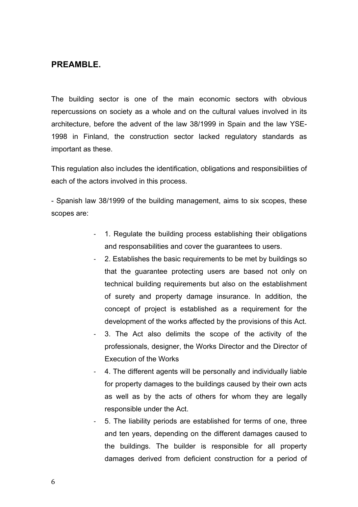### **PREAMBLE.**

The building sector is one of the main economic sectors with obvious repercussions on society as a whole and on the cultural values involved in its architecture, before the advent of the law 38/1999 in Spain and the law YSE-1998 in Finland, the construction sector lacked regulatory standards as important as these.

This regulation also includes the identification, obligations and responsibilities of each of the actors involved in this process.

- Spanish law 38/1999 of the building management, aims to six scopes, these scopes are:

- 1. Regulate the building process establishing their obligations and responsabilities and cover the guarantees to users.
- 2. Establishes the basic requirements to be met by buildings so that the guarantee protecting users are based not only on technical building requirements but also on the establishment of surety and property damage insurance. In addition, the concept of project is established as a requirement for the development of the works affected by the provisions of this Act.
- 3. The Act also delimits the scope of the activity of the professionals, designer, the Works Director and the Director of Execution of the Works
- 4. The different agents will be personally and individually liable for property damages to the buildings caused by their own acts as well as by the acts of others for whom they are legally responsible under the Act.
- 5. The liability periods are established for terms of one, three and ten years, depending on the different damages caused to the buildings. The builder is responsible for all property damages derived from deficient construction for a period of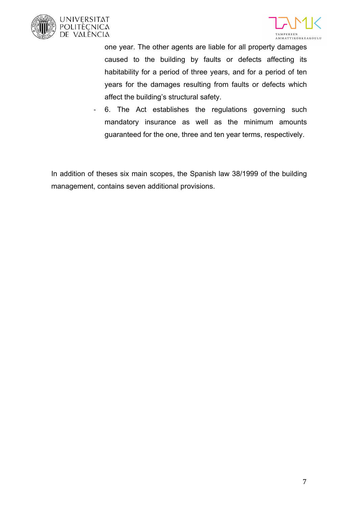





one year. The other agents are liable for all property damages caused to the building by faults or defects affecting its habitability for a period of three years, and for a period of ten years for the damages resulting from faults or defects which affect the building's structural safety.

- 6. The Act establishes the regulations governing such mandatory insurance as well as the minimum amounts guaranteed for the one, three and ten year terms, respectively.

In addition of theses six main scopes, the Spanish law 38/1999 of the building management, contains seven additional provisions.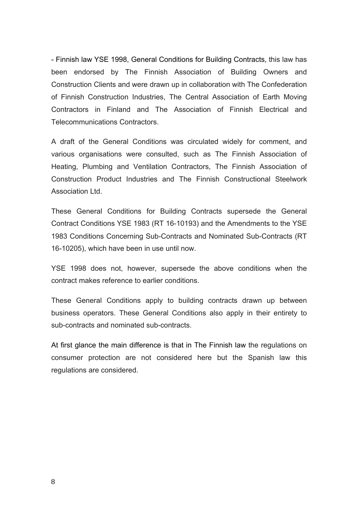- Finnish law YSE 1998, General Conditions for Building Contracts, this law has been endorsed by The Finnish Association of Building Owners and Construction Clients and were drawn up in collaboration with The Confederation of Finnish Construction Industries, The Central Association of Earth Moving Contractors in Finland and The Association of Finnish Electrical and Telecommunications Contractors.

A draft of the General Conditions was circulated widely for comment, and various organisations were consulted, such as The Finnish Association of Heating, Plumbing and Ventilation Contractors, The Finnish Association of Construction Product Industries and The Finnish Constructional Steelwork Association Ltd.

These General Conditions for Building Contracts supersede the General Contract Conditions YSE 1983 (RT 16-10193) and the Amendments to the YSE 1983 Conditions Concerning Sub-Contracts and Nominated Sub-Contracts (RT 16-10205), which have been in use until now.

YSE 1998 does not, however, supersede the above conditions when the contract makes reference to earlier conditions.

These General Conditions apply to building contracts drawn up between business operators. These General Conditions also apply in their entirety to sub-contracts and nominated sub-contracts.

At first glance the main difference is that in The Finnish law the regulations on consumer protection are not considered here but the Spanish law this regulations are considered.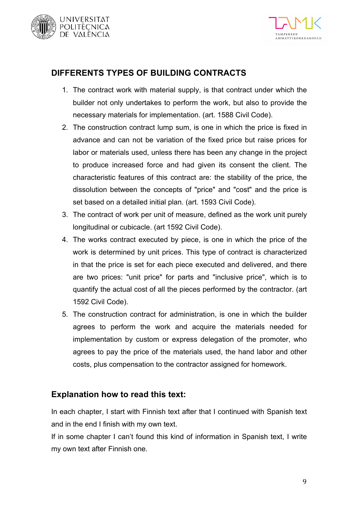



## **DIFFERENTS TYPES OF BUILDING CONTRACTS**

- 1. The contract work with material supply, is that contract under which the builder not only undertakes to perform the work, but also to provide the necessary materials for implementation. (art. 1588 Civil Code).
- 2. The construction contract lump sum, is one in which the price is fixed in advance and can not be variation of the fixed price but raise prices for labor or materials used, unless there has been any change in the project to produce increased force and had given its consent the client. The characteristic features of this contract are: the stability of the price, the dissolution between the concepts of "price" and "cost" and the price is set based on a detailed initial plan. (art. 1593 Civil Code).
- 3. The contract of work per unit of measure, defined as the work unit purely longitudinal or cubicacle. (art 1592 Civil Code).
- 4. The works contract executed by piece, is one in which the price of the work is determined by unit prices. This type of contract is characterized in that the price is set for each piece executed and delivered, and there are two prices: "unit price" for parts and "inclusive price", which is to quantify the actual cost of all the pieces performed by the contractor. (art 1592 Civil Code).
- 5. The construction contract for administration, is one in which the builder agrees to perform the work and acquire the materials needed for implementation by custom or express delegation of the promoter, who agrees to pay the price of the materials used, the hand labor and other costs, plus compensation to the contractor assigned for homework.

## **Explanation how to read this text:**

In each chapter, I start with Finnish text after that I continued with Spanish text and in the end I finish with my own text.

If in some chapter I can't found this kind of information in Spanish text, I write my own text after Finnish one.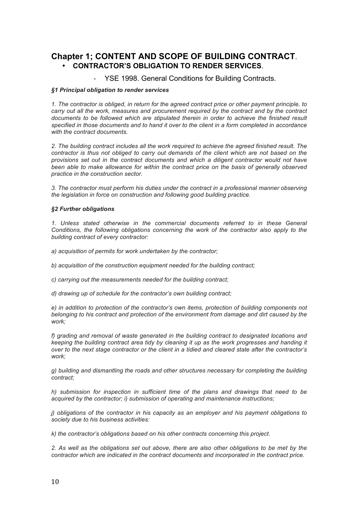### **Chapter 1; CONTENT AND SCOPE OF BUILDING CONTRACT**. • **CONTRACTOR'S OBLIGATION TO RENDER SERVICES**.

YSE 1998. General Conditions for Building Contracts.

#### *§1 Principal obligation to render services*

*1. The contractor is obliged, in return for the agreed contract price or other payment principle, to carry out all the work, measures and procurement required by the contract and by the contract*  documents to be followed which are stipulated therein in order to achieve the finished result *specified in those documents and to hand it over to the client in a form completed in accordance with the contract documents.*

*2. The building contract includes all the work required to achieve the agreed finished result. The contractor is thus not obliged to carry out demands of the client which are not based on the provisions set out in the contract documents and which a diligent contractor would not have been able to make allowance for within the contract price on the basis of generally observed practice in the construction sector.*

*3. The contractor must perform his duties under the contract in a professional manner observing the legislation in force on construction and following good building practice.*

#### *§2 Further obligations*

*1. Unless stated otherwise in the commercial documents referred to in these General Conditions, the following obligations concerning the work of the contractor also apply to the building contract of every contractor:*

*a) acquisition of permits for work undertaken by the contractor;* 

*b) acquisition of the construction equipment needed for the building contract;*

*c) carrying out the measurements needed for the building contract;*

*d) drawing up of schedule for the contractor's own building contract;*

*e) in addition to protection of the contractor's own items, protection of building components not belonging to his contract and protection of the environment from damage and dirt caused by the work;*

*f) grading and removal of waste generated in the building contract to designated locations and keeping the building contract area tidy by cleaning it up as the work progresses and handing it over to the next stage contractor or the client in a tidied and cleared state after the contractor's work;*

*g) building and dismantling the roads and other structures necessary for completing the building contract;*

*h) submission for inspection in sufficient time of the plans and drawings that need to be acquired by the contractor; i) submission of operating and maintenance instructions;*

*j) obligations of the contractor in his capacity as an employer and his payment obligations to society due to his business activities:*

*k) the contractor's obligations based on his other contracts concerning this project.*

*2. As well as the obligations set out above, there are also other obligations to be met by the contractor which are indicated in the contract documents and incorporated in the contract price.*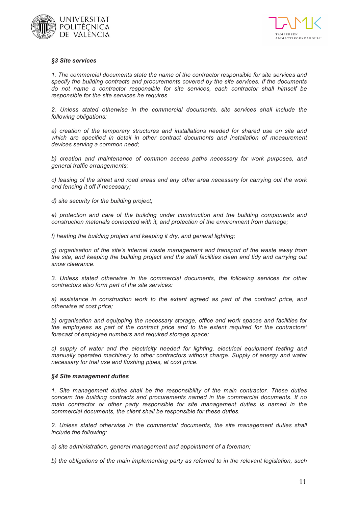



#### *§3 Site services*

*1. The commercial documents state the name of the contractor responsible for site services and specify the building contracts and procurements covered by the site services. If the documents do not name a contractor responsible for site services, each contractor shall himself be responsible for the site services he requires.*

*2. Unless stated otherwise in the commercial documents, site services shall include the following obligations:*

*a) creation of the temporary structures and installations needed for shared use on site and which are specified in detail in other contract documents and installation of measurement devices serving a common need;*

*b) creation and maintenance of common access paths necessary for work purposes, and general traffic arrangements;* 

*c) leasing of the street and road areas and any other area necessary for carrying out the work and fencing it off if necessary;*

*d) site security for the building project;*

*e) protection and care of the building under construction and the building components and construction materials connected with it, and protection of the environment from damage;*

*f) heating the building project and keeping it dry, and general lighting;* 

*g) organisation of the site's internal waste management and transport of the waste away from*  the site, and keeping the building project and the staff facilities clean and tidy and carrying out *snow clearance.*

*3. Unless stated otherwise in the commercial documents, the following services for other contractors also form part of the site services:*

*a) assistance in construction work to the extent agreed as part of the contract price, and otherwise at cost price;*

*b) organisation and equipping the necessary storage, office and work spaces and facilities for the employees as part of the contract price and to the extent required for the contractors' forecast of employee numbers and required storage space;*

*c) supply of water and the electricity needed for lighting, electrical equipment testing and manually operated machinery to other contractors without charge. Supply of energy and water necessary for trial use and flushing pipes, at cost price.*

#### *§4 Site management duties*

*1. Site management duties shall be the responsibility of the main contractor. These duties concern the building contracts and procurements named in the commercial documents. If no main contractor or other party responsible for site management duties is named in the commercial documents, the client shall be responsible for these duties.*

*2. Unless stated otherwise in the commercial documents, the site management duties shall include the following:*

*a) site administration, general management and appointment of a foreman;*

*b) the obligations of the main implementing party as referred to in the relevant legislation, such*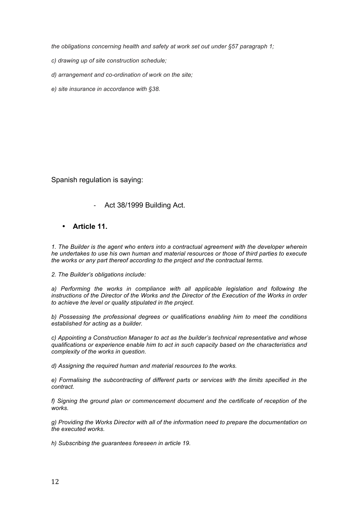*the obligations concerning health and safety at work set out under §57 paragraph 1;*

*c) drawing up of site construction schedule;* 

*d) arrangement and co-ordination of work on the site;* 

*e) site insurance in accordance with §38.*

Spanish regulation is saying:

- Act 38/1999 Building Act.
- **Article 11.**

*1. The Builder is the agent who enters into a contractual agreement with the developer wherein he undertakes to use his own human and material resources or those of third parties to execute the works or any part thereof according to the project and the contractual terms.*

*2. The Builder's obligations include:*

a) Performing the works in compliance with all applicable legislation and following the *instructions of the Director of the Works and the Director of the Execution of the Works in order to achieve the level or quality stipulated in the project.*

*b) Possessing the professional degrees or qualifications enabling him to meet the conditions established for acting as a builder.*

*c) Appointing a Construction Manager to act as the builder's technical representative and whose qualifications or experience enable him to act in such capacity based on the characteristics and complexity of the works in question.*

*d) Assigning the required human and material resources to the works.*

*e) Formalising the subcontracting of different parts or services with the limits specified in the contract.*

*f) Signing the ground plan or commencement document and the certificate of reception of the works.*

*g) Providing the Works Director with all of the information need to prepare the documentation on the executed works.*

*h) Subscribing the guarantees foreseen in article 19.*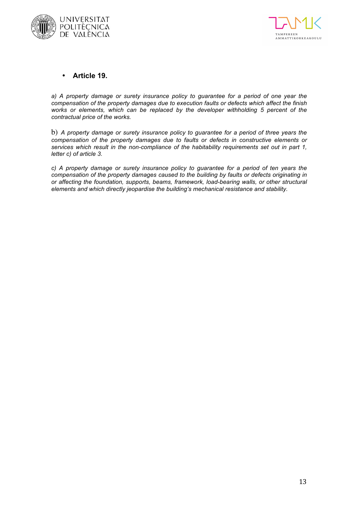



### • **Article 19.**

*a) A property damage or surety insurance policy to guarantee for a period of one year the compensation of the property damages due to execution faults or defects which affect the finish works or elements, which can be replaced by the developer withholding 5 percent of the contractual price of the works.*

b) *A property damage or surety insurance policy to guarantee for a period of three years the compensation of the property damages due to faults or defects in constructive elements or services which result in the non-compliance of the habitability requirements set out in part 1, letter c) of article 3.*

*c) A property damage or surety insurance policy to guarantee for a period of ten years the compensation of the property damages caused to the building by faults or defects originating in or affecting the foundation, supports, beams, framework, load-bearing walls, or other structural elements and which directly jeopardise the building's mechanical resistance and stability.*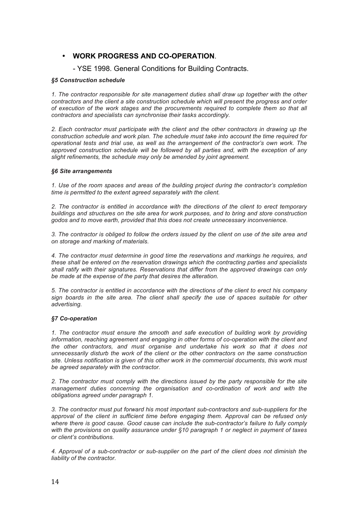### • **WORK PROGRESS AND CO-OPERATION**.

### - YSE 1998. General Conditions for Building Contracts.

#### *§5 Construction schedule*

*1. The contractor responsible for site management duties shall draw up together with the other contractors and the client a site construction schedule which will present the progress and order of execution of the work stages and the procurements required to complete them so that all contractors and specialists can synchronise their tasks accordingly.*

*2. Each contractor must participate with the client and the other contractors in drawing up the construction schedule and work plan. The schedule must take into account the time required for operational tests and trial use, as well as the arrangement of the contractor's own work. The approved construction schedule will be followed by all parties and, with the exception of any slight refinements, the schedule may only be amended by joint agreement.*

#### *§6 Site arrangements*

*1. Use of the room spaces and areas of the building project during the contractor's completion time is permitted to the extent agreed separately with the client.*

*2. The contractor is entitled in accordance with the directions of the client to erect temporary buildings and structures on the site area for work purposes, and to bring and store construction godos and to move earth, provided that this does not create unnecessary inconvenience.*

*3. The contractor is obliged to follow the orders issued by the client on use of the site area and on storage and marking of materials.*

*4. The contractor must determine in good time the reservations and markings he requires, and these shall be entered on the reservation drawings which the contracting parties and specialists shall ratify with their signatures. Reservations that differ from the approved drawings can only be made at the expense of the party that desires the alteration.*

*5. The contractor is entitled in accordance with the directions of the client to erect his company sign boards in the site area. The client shall specify the use of spaces suitable for other advertising.*

#### *§7 Co-operation*

*1. The contractor must ensure the smooth and safe execution of building work by providing information, reaching agreement and engaging in other forms of co-operation with the client and the other contractors, and must organise and undertake his work so that it does not unnecessarily disturb the work of the client or the other contractors on the same construction site. Unless notification is given of this other work in the commercial documents, this work must be agreed separately with the contractor.*

*2. The contractor must comply with the directions issued by the party responsible for the site management duties concerning the organisation and co-ordination of work and with the obligations agreed under paragraph 1.*

*3. The contractor must put forward his most important sub-contractors and sub-suppliers for the approval of the client in sufficient time before engaging them. Approval can be refused only where there is good cause. Good cause can include the sub-contractor's failure to fully comply with the provisions on quality assurance under §10 paragraph 1 or neglect in payment of taxes or client's contributions.*

*4. Approval of a sub-contractor or sub-supplier on the part of the client does not diminish the liability of the contractor.*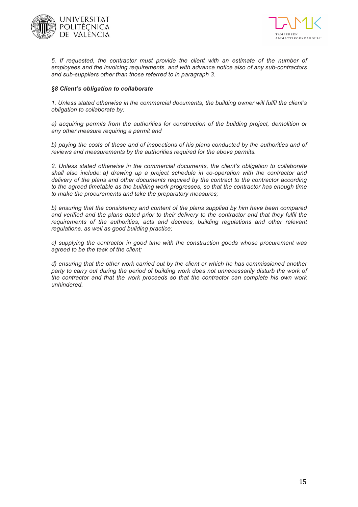



*5. If requested, the contractor must provide the client with an estimate of the number of employees and the invoicing requirements, and with advance notice also of any sub-contractors and sub-suppliers other than those referred to in paragraph 3.*

#### *§8 Client's obligation to collaborate*

*1. Unless stated otherwise in the commercial documents, the building owner will fulfil the client's obligation to collaborate by:*

*a) acquiring permits from the authorities for construction of the building project, demolition or any other measure requiring a permit and*

*b) paying the costs of these and of inspections of his plans conducted by the authorities and of reviews and measurements by the authorities required for the above permits.*

*2. Unless stated otherwise in the commercial documents, the client's obligation to collaborate shall also include: a) drawing up a project schedule in co-operation with the contractor and delivery of the plans and other documents required by the contract to the contractor according*  to the agreed timetable as the building work progresses, so that the contractor has enough time *to make the procurements and take the preparatory measures;*

*b) ensuring that the consistency and content of the plans supplied by him have been compared and verified and the plans dated prior to their delivery to the contractor and that they fulfil the requirements of the authorities, acts and decrees, building regulations and other relevant regulations, as well as good building practice;*

*c) supplying the contractor in good time with the construction goods whose procurement was agreed to be the task of the client;* 

*d) ensuring that the other work carried out by the client or which he has commissioned another*  party to carry out during the period of building work does not unnecessarily disturb the work of *the contractor and that the work proceeds so that the contractor can complete his own work unhindered.*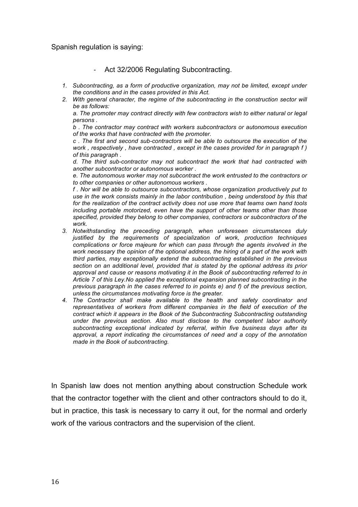Spanish regulation is saying:

- Act 32/2006 Regulating Subcontracting.
- *1. Subcontracting, as a form of productive organization, may not be limited, except under the conditions and in the cases provided in this Act.*
- *2. With general character, the regime of the subcontracting in the construction sector will be as follows:*

*a. The promoter may contract directly with few contractors wish to either natural or legal persons .*

*b . The contractor may contract with workers subcontractors or autonomous execution of the works that have contracted with the promoter.*

*c . The first and second sub-contractors will be able to outsource the execution of the work , respectively , have contracted , except in the cases provided for in paragraph f ) of this paragraph .*

*d. The third sub-contractor may not subcontract the work that had contracted with another subcontractor or autonomous worker .*

*e. The autonomous worker may not subcontract the work entrusted to the contractors or to other companies or other autonomous workers .*

*f . Nor will be able to outsource subcontractors, whose organization productively put to use in the work consists mainly in the labor contribution , being understood by this that for the realization of the contract activity does not use more that teams own hand tools including portable motorized, even have the support of other teams other than those specified, provided they belong to other companies, contractors or subcontractors of the work.*

- *3. Notwithstanding the preceding paragraph, when unforeseen circumstances duly justified by the requirements of specialization of work, production techniques complications or force majeure for which can pass through the agents involved in the work necessary the opinion of the optional address, the hiring of a part of the work with third parties, may exceptionally extend the subcontracting established in the previous section on an additional level, provided that is stated by the optional address its prior approval and cause or reasons motivating it in the Book of subcontracting referred to in Article 7 of this Ley.No applied the exceptional expansion planned subcontracting in the previous paragraph in the cases referred to in points e) and f) of the previous section, unless the circumstances motivating force is the greater.*
- *4. The Contractor shall make available to the health and safety coordinator and representatives of workers from different companies in the field of execution of the contract which it appears in the Book of the Subcontracting Subcontracting outstanding under the previous section. Also must disclose to the competent labor authority subcontracting exceptional indicated by referral, within five business days after its approval, a report indicating the circumstances of need and a copy of the annotation made in the Book of subcontracting.*

In Spanish law does not mention anything about construction Schedule work that the contractor together with the client and other contractors should to do it, but in practice, this task is necessary to carry it out, for the normal and orderly work of the various contractors and the supervision of the client.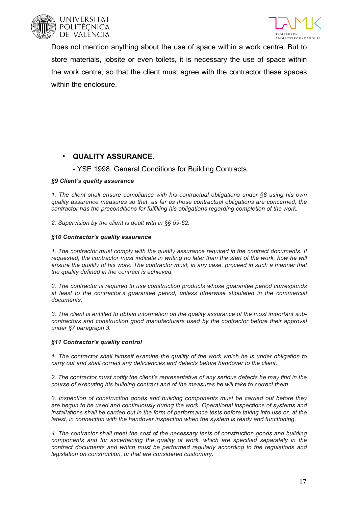



Does not mention anything about the use of space within a work centre. But to store materials, jobsite or even toilets, it is necessary the use of space within the work centre, so that the client must agree with the contractor these spaces within the enclosure.

### • **QUALITY ASSURANCE**.

### - YSE 1998. General Conditions for Building Contracts.

### *§9 Client's quality assurance*

*1. The client shall ensure compliance with his contractual obligations under §8 using his own quality assurance measures so that, as far as those contractual obligations are concerned, the contractor has the preconditions for fulfilling his obligations regarding completion of the work.*

*2. Supervision by the client is dealt with in §§ 59-62.*

### *§10 Contractor's quality assurance*

*1. The contractor must comply with the quality assurance required in the contract documents. If*  requested, the contractor must indicate in writing no later than the start of the work, how he will *ensure the quality of his work. The contractor must, in any case, proceed in such a manner that the quality defined in the contract is achieved.*

*2. The contractor is required to use construction products whose guarantee period corresponds at least to the contractor's guarantee period, unless otherwise stipulated in the commercial documents.*

*3. The client is entitled to obtain information on the quality assurance of the most important sub*contractors and construction good manufacturers used by the contractor before their approval *under §7 paragraph 3.*

#### *§11 Contractor's quality control*

*1. The contractor shall himself examine the quality of the work which he is under obligation to carry out and shall correct any deficiencies and defects before handover to the client.*

*2. The contractor must notify the client's representative of any serious defects he may find in the course of executing his building contract and of the measures he will take to correct them.*

*3. Inspection of construction goods and building components must be carried out before they are begun to be used and continuously during the work. Operational inspections of systems and installations shall be carried out in the form of performance tests before taking into use or, at the latest, in connection with the handover inspection when the system is ready and functioning.*

*4. The contractor shall meet the cost of the necessary tests of construction goods and building components and for ascertaining the quality of work, which are specified separately in the contract documents and which must be performed regularly according to the regulations and legislation on construction, or that are considered customary.*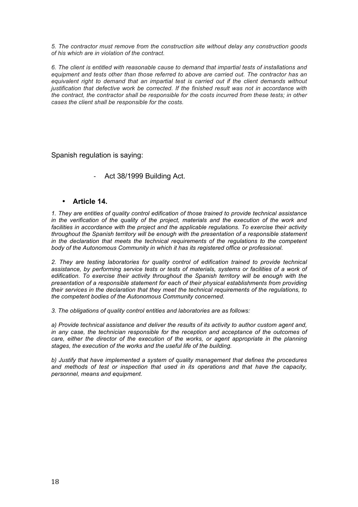*5. The contractor must remove from the construction site without delay any construction goods of his which are in violation of the contract.*

*6. The client is entitled with reasonable cause to demand that impartial tests of installations and equipment and tests other than those referred to above are carried out. The contractor has an*  equivalent right to demand that an impartial test is carried out if the client demands without *justification that defective work be corrected. If the finished result was not in accordance with the contract, the contractor shall be responsible for the costs incurred from these tests; in other cases the client shall be responsible for the costs.*

Spanish regulation is saying:

- Act 38/1999 Building Act.

### • **Article 14.**

*1. They are entities of quality control edification of those trained to provide technical assistance*  in the verification of the quality of the project, materials and the execution of the work and *facilities in accordance with the project and the applicable regulations. To exercise their activity throughout the Spanish territory will be enough with the presentation of a responsible statement in the declaration that meets the technical requirements of the regulations to the competent body of the Autonomous Community in which it has its registered office or professional.*

*2. They are testing laboratories for quality control of edification trained to provide technical*  assistance, by performing service tests or tests of materials, systems or facilities of a work of *edification. To exercise their activity throughout the Spanish territory will be enough with the presentation of a responsible statement for each of their physical establishments from providing their services in the declaration that they meet the technical requirements of the regulations, to the competent bodies of the Autonomous Community concerned.*

*3. The obligations of quality control entities and laboratories are as follows:*

*a) Provide technical assistance and deliver the results of its activity to author custom agent and, in any case, the technician responsible for the reception and acceptance of the outcomes of care, either the director of the execution of the works, or agent appropriate in the planning stages, the execution of the works and the useful life of the building.*

*b) Justify that have implemented a system of quality management that defines the procedures and methods of test or inspection that used in its operations and that have the capacity, personnel, means and equipment.*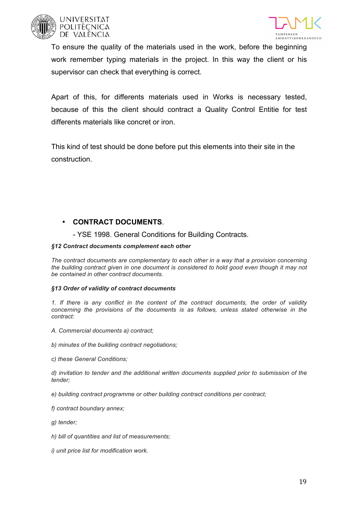





To ensure the quality of the materials used in the work, before the beginning work remember typing materials in the project. In this way the client or his supervisor can check that everything is correct.

Apart of this, for differents materials used in Works is necessary tested, because of this the client should contract a Quality Control Entitie for test differents materials like concret or iron.

This kind of test should be done before put this elements into their site in the construction.

### • **CONTRACT DOCUMENTS**.

- YSE 1998. General Conditions for Building Contracts.

### *§12 Contract documents complement each other*

*The contract documents are complementary to each other in a way that a provision concerning the building contract given in one document is considered to hold good even though it may not be contained in other contract documents.*

### *§13 Order of validity of contract documents*

*1. If there is any conflict in the content of the contract documents, the order of validity concerning the provisions of the documents is as follows, unless stated otherwise in the contract:*

- *A. Commercial documents a) contract;*
- *b) minutes of the building contract negotiations;*
- *c) these General Conditions;*

*d) invitation to tender and the additional written documents supplied prior to submission of the tender;*

- *e) building contract programme or other building contract conditions per contract;*
- *f) contract boundary annex;*
- *g) tender;*
- *h) bill of quantities and list of measurements;*
- *i) unit price list for modification work.*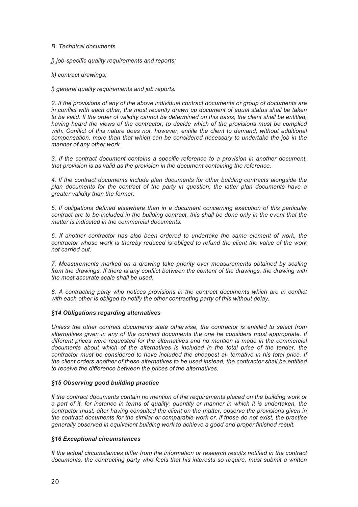#### *B. Technical documents*

*j) job-specific quality requirements and reports;* 

*k) contract drawings;* 

*l) general quality requirements and job reports.*

*2. If the provisions of any of the above individual contract documents or group of documents are in conflict with each other, the most recently drawn up document of equal status shall be taken*  to be valid. If the order of validity cannot be determined on this basis, the client shall be entitled, having heard the views of the contractor, to decide which of the provisions must be complied *with. Conflict of this nature does not, however, entitle the client to demand, without additional compensation, more than that which can be considered necessary to undertake the job in the manner of any other work.*

*3. If the contract document contains a specific reference to a provision in another document, that provision is as valid as the provision in the document containing the reference.*

*4. If the contract documents include plan documents for other building contracts alongside the*  plan documents for the contract of the party in question, the latter plan documents have a *greater validity than the former.*

*5. If obligations defined elsewhere than in a document concerning execution of this particular contract are to be included in the building contract, this shall be done only in the event that the matter is indicated in the commercial documents.*

*6. If another contractor has also been ordered to undertake the same element of work, the contractor whose work is thereby reduced is obliged to refund the client the value of the work not carried out.*

*7. Measurements marked on a drawing take priority over measurements obtained by scaling*  from the drawings. If there is any conflict between the content of the drawings, the drawing with *the most accurate scale shall be used.*

*8. A contracting party who notices provisions in the contract documents which are in conflict with each other is obliged to notify the other contracting party of this without delay.*

#### *§14 Obligations regarding alternatives*

*Unless the other contract documents state otherwise, the contractor is entitled to select from alternatives given in any of the contract documents the one he considers most appropriate. If different prices were requested for the alternatives and no mention is made in the commercial*  documents about which of the alternatives is included in the total price of the tender, the *contractor must be considered to have included the cheapest al- ternative in his total price. If the client orders another of these alternatives to be used instead, the contractor shall be entitled to receive the difference between the prices of the alternatives.*

#### *§15 Observing good building practice*

*If the contract documents contain no mention of the requirements placed on the building work or a part of it, for instance in terms of quality, quantity or manner in which it is undertaken, the contractor must, after having consulted the client on the matter, observe the provisions given in the contract documents for the similar or comparable work or, if these do not exist, the practice generally observed in equivalent building work to achieve a good and proper finished result.*

#### *§16 Exceptional circumstances*

*If the actual circumstances differ from the information or research results notified in the contract documents, the contracting party who feels that his interests so require, must submit a written*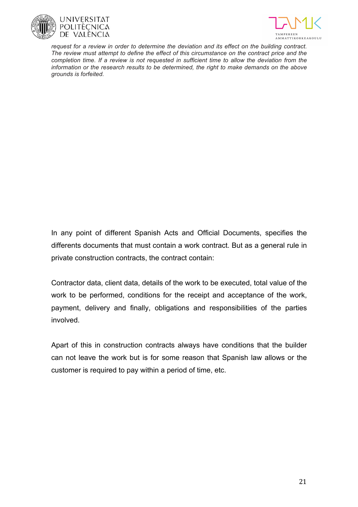



*request for a review in order to determine the deviation and its effect on the building contract. The review must attempt to define the effect of this circumstance on the contract price and the completion time. If a review is not requested in sufficient time to allow the deviation from the information or the research results to be determined, the right to make demands on the above grounds is forfeited.*

In any point of different Spanish Acts and Official Documents, specifies the differents documents that must contain a work contract. But as a general rule in private construction contracts, the contract contain:

Contractor data, client data, details of the work to be executed, total value of the work to be performed, conditions for the receipt and acceptance of the work, payment, delivery and finally, obligations and responsibilities of the parties involved.

Apart of this in construction contracts always have conditions that the builder can not leave the work but is for some reason that Spanish law allows or the customer is required to pay within a period of time, etc.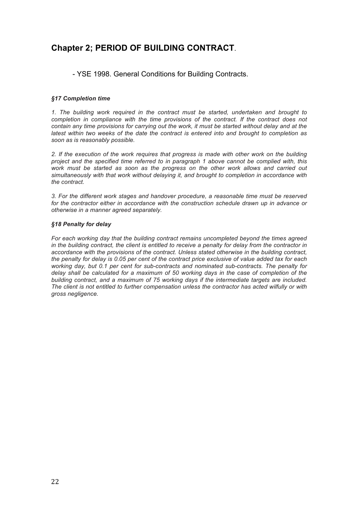## **Chapter 2; PERIOD OF BUILDING CONTRACT**.

- YSE 1998. General Conditions for Building Contracts.

#### *§17 Completion time*

*1. The building work required in the contract must be started, undertaken and brought to completion in compliance with the time provisions of the contract. If the contract does not contain any time provisions for carrying out the work, it must be started without delay and at the latest within two weeks of the date the contract is entered into and brought to completion as soon as is reasonably possible.*

*2. If the execution of the work requires that progress is made with other work on the building project and the specified time referred to in paragraph 1 above cannot be complied with, this work must be started as soon as the progress on the other work allows and carried out simultaneously with that work without delaying it, and brought to completion in accordance with the contract.*

*3. For the different work stages and handover procedure, a reasonable time must be reserved for the contractor either in accordance with the construction schedule drawn up in advance or otherwise in a manner agreed separately.*

#### *§18 Penalty for delay*

*For each working day that the building contract remains uncompleted beyond the times agreed in the building contract, the client is entitled to receive a penalty for delay from the contractor in accordance with the provisions of the contract. Unless stated otherwise in the building contract, the penalty for delay is 0.05 per cent of the contract price exclusive of value added tax for each working day, but 0.1 per cent for sub-contracts and nominated sub-contracts. The penalty for delay shall be calculated for a maximum of 50 working days in the case of completion of the building contract, and a maximum of 75 working days if the intermediate targets are included. The client is not entitled to further compensation unless the contractor has acted wilfully or with gross negligence.*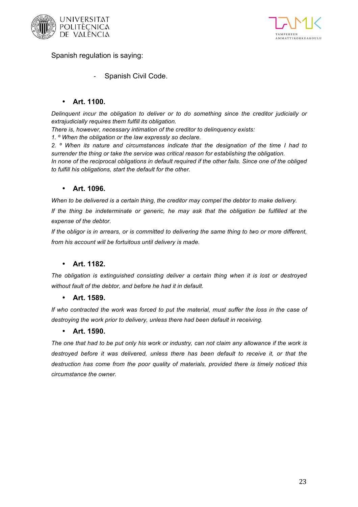



Spanish regulation is saying:

Spanish Civil Code.

### • **Art. 1100.**

*Delinquent incur the obligation to deliver or to do something since the creditor judicially or extrajudicially requires them fulfill its obligation.*

*There is, however, necessary intimation of the creditor to delinquency exists:*

*1. º When the obligation or the law expressly so declare.*

*2. º When its nature and circumstances indicate that the designation of the time I had to surrender the thing or take the service was critical reason for establishing the obligation. In none of the reciprocal obligations in default required if the other fails. Since one of the obliged to fulfill his obligations, start the default for the other.*

### • **Art. 1096.**

*When to be delivered is a certain thing, the creditor may compel the debtor to make delivery.*

*If the thing be indeterminate or generic, he may ask that the obligation be fulfilled at the expense of the debtor.*

*If the obligor is in arrears, or is committed to delivering the same thing to two or more different, from his account will be fortuitous until delivery is made.*

### • **Art. 1182.**

*The obligation is extinguished consisting deliver a certain thing when it is lost or destroyed without fault of the debtor, and before he had it in default.*

### • **Art. 1589.**

*If who contracted the work was forced to put the material, must suffer the loss in the case of destroying the work prior to delivery, unless there had been default in receiving.*

### • **Art. 1590.**

*The one that had to be put only his work or industry, can not claim any allowance if the work is*  destroyed before it was delivered, unless there has been default to receive it, or that the *destruction has come from the poor quality of materials, provided there is timely noticed this circumstance the owner.*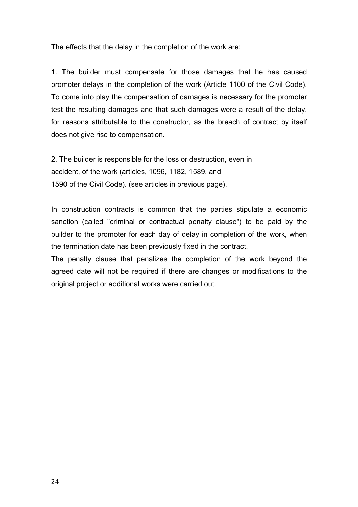The effects that the delay in the completion of the work are:

1. The builder must compensate for those damages that he has caused promoter delays in the completion of the work (Article 1100 of the Civil Code). To come into play the compensation of damages is necessary for the promoter test the resulting damages and that such damages were a result of the delay, for reasons attributable to the constructor, as the breach of contract by itself does not give rise to compensation.

2. The builder is responsible for the loss or destruction, even in accident, of the work (articles, 1096, 1182, 1589, and 1590 of the Civil Code). (see articles in previous page).

In construction contracts is common that the parties stipulate a economic sanction (called "criminal or contractual penalty clause") to be paid by the builder to the promoter for each day of delay in completion of the work, when the termination date has been previously fixed in the contract.

The penalty clause that penalizes the completion of the work beyond the agreed date will not be required if there are changes or modifications to the original project or additional works were carried out.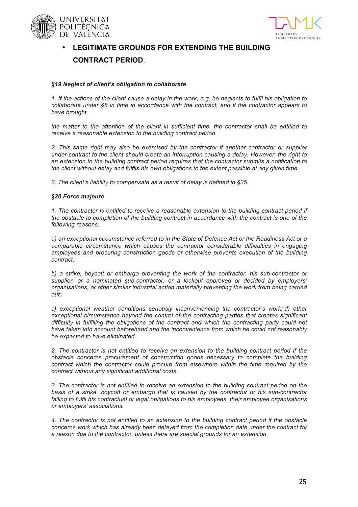





## • **LEGITIMATE GROUNDS FOR EXTENDING THE BUILDING CONTRACT PERIOD**.

#### *§19 Neglect of client's obligation to collaborate*

*1. If the actions of the client cause a delay in the work, e.g. he neglects to fulfil his obligation to collaborate under §8 in time in accordance with the contract, and if the contractor appears to have brought.*

*the matter to the attention of the client in sufficient time, the contractor shall be entitled to receive a reasonable extension to the building contract period.*

*2. This same right may also be exercised by the contractor if another contractor or supplier under contract to the client should create an interruption causing a delay. However, the right to an extension to the building contract period requires that the contractor submits a notification to the client without delay and fulfils his own obligations to the extent possible at any given time.*

*3. The client's liability to compensate as a result of delay is defined in §35.*

#### *§20 Force majeure*

*1. The contractor is entitled to receive a reasonable extension to the building contract period if the obstacle to completion of the building contract in accordance with the contract is one of the following reasons:*

*a) an exceptional circumstance referred to in the State of Defence Act or the Readiness Act or a comparable circumstance which causes the contractor considerable difficulties in engaging employees and procuring construction goods or otherwise prevents execution of the building contract;*

*b) a strike, boycott or embargo preventing the work of the contractor, his sub-contractor or supplier, or a nominated sub-contractor, or a lockout approved or decided by employers' organisations, or other similar industrial action materially preventing the work from being carried out;*

*c) exceptional weather conditions seriously inconveniencing the contractor's work; d) other exceptional circumstance beyond the control of the contracting parties that creates significant difficulty in fulfilling the obligations of the contract and which the contracting party could not have taken into account beforehand and the inconvenience from which he could not reasonably be expected to have eliminated.*

*2. The contractor is not entitled to receive an extension to the building contract period if the obstacle concerns procurement of construction goods necessary to complete the building contract which the contractor could procure from elsewhere within the time required by the contract without any significant additional costs.*

*3. The contractor is not entitled to receive an extension to the building contract period on the basis of a strike, boycott or embargo that is caused by the contractor or his sub-contractor failing to fulfil his contractual or legal obligations to his employees, their employee organisations or employers' associations.*

*4. The contractor is not entitled to an extension to the building contract period if the obstacle concerns work which has already been delayed from the completion date under the contract for a reason due to the contractor, unless there are special grounds for an extension.*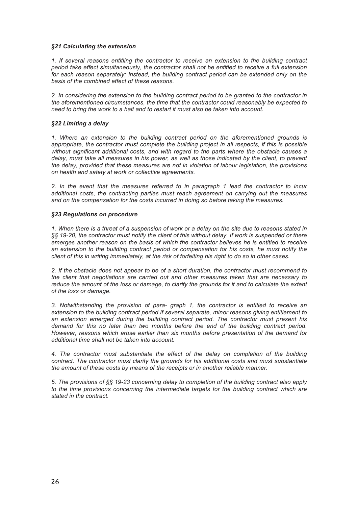#### *§21 Calculating the extension*

*1. If several reasons entitling the contractor to receive an extension to the building contract period take effect simultaneously, the contractor shall not be entitled to receive a full extension*  for each reason separately; instead, the building contract period can be extended only on the *basis of the combined effect of these reasons.*

*2. In considering the extension to the building contract period to be granted to the contractor in the aforementioned circumstances, the time that the contractor could reasonably be expected to need to bring the work to a halt and to restart it must also be taken into account.*

#### *§22 Limiting a delay*

*1. Where an extension to the building contract period on the aforementioned grounds is appropriate, the contractor must complete the building project in all respects, if this is possible without significant additional costs, and with regard to the parts where the obstacle causes a delay, must take all measures in his power, as well as those indicated by the client, to prevent the delay, provided that these measures are not in violation of labour legislation, the provisions on health and safety at work or collective agreements.*

*2. In the event that the measures referred to in paragraph 1 lead the contractor to incur additional costs, the contracting parties must reach agreement on carrying out the measures and on the compensation for the costs incurred in doing so before taking the measures.*

#### *§23 Regulations on procedure*

*1. When there is a threat of a suspension of work or a delay on the site due to reasons stated in §§ 19-20, the contractor must notify the client of this without delay. If work is suspended or there emerges another reason on the basis of which the contractor believes he is entitled to receive an extension to the building contract period or compensation for his costs, he must notify the client of this in writing immediately, at the risk of forfeiting his right to do so in other cases.*

*2. If the obstacle does not appear to be of a short duration, the contractor must recommend to the client that negotiations are carried out and other measures taken that are necessary to*  reduce the amount of the loss or damage, to clarify the grounds for it and to calculate the extent *of the loss or damage.*

*3. Notwithstanding the provision of para- graph 1, the contractor is entitled to receive an extension to the building contract period if several separate, minor reasons giving entitlement to an extension emerged during the building contract period. The contractor must present his demand for this no later than two months before the end of the building contract period. However, reasons which arose earlier than six months before presentation of the demand for additional time shall not be taken into account.*

*4. The contractor must substantiate the effect of the delay on completion of the building contract. The contractor must clarify the grounds for his additional costs and must substantiate the amount of these costs by means of the receipts or in another reliable manner.*

*5. The provisions of §§ 19-23 concerning delay to completion of the building contract also apply to the time provisions concerning the intermediate targets for the building contract which are stated in the contract.*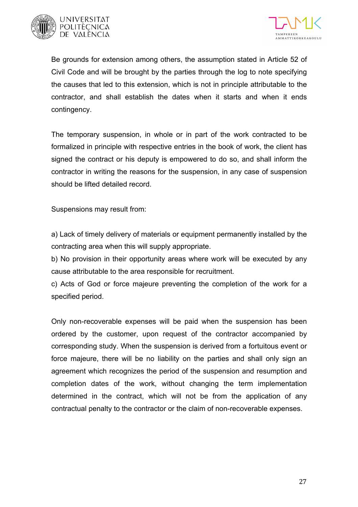



Be grounds for extension among others, the assumption stated in Article 52 of Civil Code and will be brought by the parties through the log to note specifying the causes that led to this extension, which is not in principle attributable to the contractor, and shall establish the dates when it starts and when it ends contingency.

The temporary suspension, in whole or in part of the work contracted to be formalized in principle with respective entries in the book of work, the client has signed the contract or his deputy is empowered to do so, and shall inform the contractor in writing the reasons for the suspension, in any case of suspension should be lifted detailed record.

Suspensions may result from:

a) Lack of timely delivery of materials or equipment permanently installed by the contracting area when this will supply appropriate.

b) No provision in their opportunity areas where work will be executed by any cause attributable to the area responsible for recruitment.

c) Acts of God or force majeure preventing the completion of the work for a specified period.

Only non-recoverable expenses will be paid when the suspension has been ordered by the customer, upon request of the contractor accompanied by corresponding study. When the suspension is derived from a fortuitous event or force majeure, there will be no liability on the parties and shall only sign an agreement which recognizes the period of the suspension and resumption and completion dates of the work, without changing the term implementation determined in the contract, which will not be from the application of any contractual penalty to the contractor or the claim of non-recoverable expenses.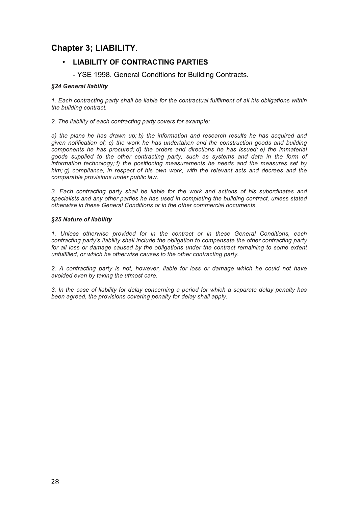## **Chapter 3; LIABILITY**.

### • **LIABILITY OF CONTRACTING PARTIES**

- YSE 1998. General Conditions for Building Contracts.

### *§24 General liability*

*1. Each contracting party shall be liable for the contractual fulfilment of all his obligations within the building contract.*

*2. The liability of each contracting party covers for example:*

*a) the plans he has drawn up; b) the information and research results he has acquired and given notification of; c) the work he has undertaken and the construction goods and building components he has procured; d) the orders and directions he has issued; e) the immaterial goods supplied to the other contracting party, such as systems and data in the form of information technology; f) the positioning measurements he needs and the measures set by him; g) compliance, in respect of his own work, with the relevant acts and decrees and the comparable provisions under public law.*

*3. Each contracting party shall be liable for the work and actions of his subordinates and specialists and any other parties he has used in completing the building contract, unless stated otherwise in these General Conditions or in the other commercial documents.*

#### *§25 Nature of liability*

*1. Unless otherwise provided for in the contract or in these General Conditions, each contracting party's liability shall include the obligation to compensate the other contracting party*  for all loss or damage caused by the obligations under the contract remaining to some extent *unfulfilled, or which he otherwise causes to the other contracting party.*

*2. A contracting party is not, however, liable for loss or damage which he could not have avoided even by taking the utmost care.*

*3. In the case of liability for delay concerning a period for which a separate delay penalty has been agreed, the provisions covering penalty for delay shall apply.*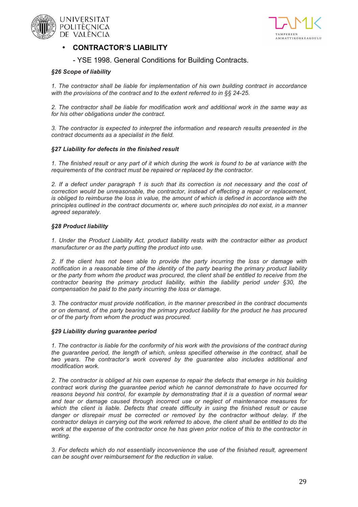





### • **CONTRACTOR'S LIABILITY**

- YSE 1998. General Conditions for Building Contracts.

#### *§26 Scope of liability*

*1. The contractor shall be liable for implementation of his own building contract in accordance with the provisions of the contract and to the extent referred to in §§ 24-25.*

*2. The contractor shall be liable for modification work and additional work in the same way as for his other obligations under the contract.*

*3. The contractor is expected to interpret the information and research results presented in the contract documents as a specialist in the field.*

#### *§27 Liability for defects in the finished result*

*1. The finished result or any part of it which during the work is found to be at variance with the requirements of the contract must be repaired or replaced by the contractor.*

*2. If a defect under paragraph 1 is such that its correction is not necessary and the cost of correction would be unreasonable, the contractor, instead of effecting a repair or replacement,*  is obliged to reimburse the loss in value, the amount of which is defined in accordance with the *principles outlined in the contract documents or, where such principles do not exist, in a manner agreed separately.*

#### *§28 Product liability*

*1. Under the Product Liability Act, product liability rests with the contractor either as product manufacturer or as the party putting the product into use.*

*2. If the client has not been able to provide the party incurring the loss or damage with notification in a reasonable time of the identity of the party bearing the primary product liability or the party from whom the product was procured, the client shall be entitled to receive from the contractor bearing the primary product liability, within the liability period under §30, the compensation he paid to the party incurring the loss or damage.*

*3. The contractor must provide notification, in the manner prescribed in the contract documents or on demand, of the party bearing the primary product liability for the product he has procured or of the party from whom the product was procured.*

#### *§29 Liability during guarantee period*

*1. The contractor is liable for the conformity of his work with the provisions of the contract during the guarantee period, the length of which, unless specified otherwise in the contract, shall be two years. The contractor's work covered by the guarantee also includes additional and modification work.*

*2. The contractor is obliged at his own expense to repair the defects that emerge in his building contract work during the guarantee period which he cannot demonstrate to have occurred for*  reasons beyond his control, for example by demonstrating that it is a question of normal wear *and tear or damage caused through incorrect use or neglect of maintenance measures for which the client is liable. Defects that create difficulty in using the finished result or cause danger or disrepair must be corrected or removed by the contractor without delay. If the contractor delays in carrying out the work referred to above, the client shall be entitled to do the work at the expense of the contractor once he has given prior notice of this to the contractor in writing.*

*3. For defects which do not essentially inconvenience the use of the finished result, agreement can be sought over reimbursement for the reduction in value.*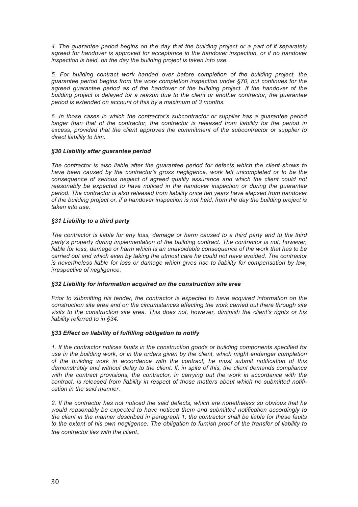*4. The guarantee period begins on the day that the building project or a part of it separately agreed for handover is approved for acceptance in the handover inspection, or if no handover inspection is held, on the day the building project is taken into use.*

*5. For building contract work handed over before completion of the building project, the guarantee period begins from the work completion inspection under §70, but continues for the*  agreed guarantee period as of the handover of the building project. If the handover of the *building project is delayed for a reason due to the client or another contractor, the guarantee period is extended on account of this by a maximum of 3 months.*

*6. In those cases in which the contractor's subcontractor or supplier has a guarantee period longer than that of the contractor, the contractor is released from liability for the period in excess, provided that the client approves the commitment of the subcontractor or supplier to direct liability to him.*

#### *§30 Liability after guarantee period*

*The contractor is also liable after the guarantee period for defects which the client shows to*  have been caused by the contractor's gross negligence, work left *uncompleted* or to be the *consequence of serious neglect of agreed quality assurance and which the client could not reasonably be expected to have noticed in the handover inspection or during the guarantee period. The contractor is also released from liability once ten years have elapsed from handover of the building project or, if a handover inspection is not held, from the day the building project is taken into use.*

#### *§31 Liability to a third party*

*The contractor is liable for any loss, damage or harm caused to a third party and to the third party's property during implementation of the building contract. The contractor is not, however, liable for loss, damage or harm which is an unavoidable consequence of the work that has to be carried out and which even by taking the utmost care he could not have avoided. The contractor*  is nevertheless liable for loss or damage which gives rise to liability for compensation by law, *irrespective of negligence.*

#### *§32 Liability for information acquired on the construction site area*

*Prior to submitting his tender, the contractor is expected to have acquired information on the construction site area and on the circumstances affecting the work carried out there through site visits to the construction site area. This does not, however, diminish the client's rights or his liability referred to in §34.*

#### *§33 Effect on liability of fulfilling obligation to notify*

*1. If the contractor notices faults in the construction goods or building components specified for use in the building work, or in the orders given by the client, which might endanger completion of the building work in accordance with the contract, he must submit notification of this demonstrably and without delay to the client. If, in spite of this, the client demands compliance with the contract provisions, the contractor, in carrying out the work in accordance with the contract, is released from liability in respect of those matters about which he submitted notification in the said manner.*

*2. If the contractor has not noticed the said defects, which are nonetheless so obvious that he would reasonably be expected to have noticed them and submitted notification accordingly to the client in the manner described in paragraph 1, the contractor shall be liable for these faults to the extent of his own negligence. The obligation to furnish proof of the transfer of liability to the contractor lies with the client.*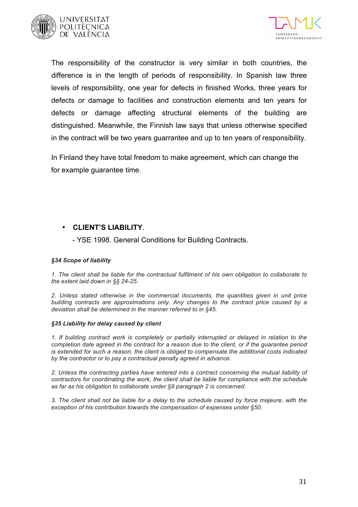



The responsibility of the constructor is very similar in both countries, the difference is in the length of periods of responsibility. In Spanish law three levels of responsibility, one year for defects in finished Works, three years for defects or damage to facilities and construction elements and ten years for defects or damage affecting structural elements of the building are distinguished. Meanwhile, the Finnish law says that unless otherwise specified in the contract will be two years guarrantee and up to ten years of responsibility.

In Finland they have total freedom to make agreement, which can change the for example guarantee time.

### • **CLIENT'S LIABILITY**.

- YSE 1998. General Conditions for Building Contracts.

#### *§34 Scope of liability*

*1. The client shall be liable for the contractual fulfilment of his own obligation to collaborate to the extent laid down in §§ 24-25.*

*2. Unless stated otherwise in the commercial documents, the quantities given in unit price building contracts are approximations only. Any changes to the contract price caused by a deviation shall be determined in the manner referred to in §45.*

#### *§35 Liability for delay caused by client*

*1. If building contract work is completely or partially interrupted or delayed in relation to the completion date agreed in the contract for a reason due to the client, or if the guarantee period is extended for such a reason, the client is obliged to compensate the additional costs indicated by the contractor or to pay a contractual penalty agreed in advance.*

*2. Unless the contracting parties have entered into a contract concerning the mutual liability of contractors for coordinating the work, the client shall be liable for compliance with the schedule as far as his obligation to collaborate under §8 paragraph 2 is concerned.*

*3. The client shall not be liable for a delay to the schedule caused by force majeure, with the exception of his contribution towards the compensation of expenses under §50.*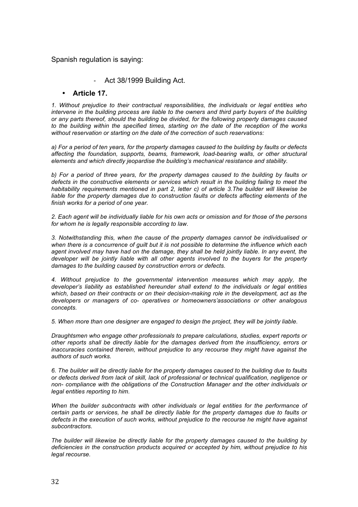### Spanish regulation is saying:

### Act 38/1999 Building Act.

### • **Article 17.**

*1. Without prejudice to their contractual responsibilities, the individuals or legal entities who intervene in the building process are liable to the owners and third party buyers of the building or any parts thereof, should the building be divided, for the following property damages caused to the building within the specified times, starting on the date of the reception of the works without reservation or starting on the date of the correction of such reservations:*

*a) For a period of ten years, for the property damages caused to the building by faults or defects affecting the foundation, supports, beams, framework, load-bearing walls, or other structural elements and which directly jeopardise the building's mechanical resistance and stability.*

*b) For a period of three years, for the property damages caused to the building by faults or defects in the constructive elements or services which result in the building failing to meet the habitability requirements mentioned in part 2, letter c) of article 3.The builder will likewise be liable for the property damages due to construction faults or defects affecting elements of the finish works for a period of one year.*

*2. Each agent will be individually liable for his own acts or omission and for those of the persons for whom he is legally responsible according to law.*

*3. Notwithstanding this, when the cause of the property damages cannot be individualised or when there is a concurrence of guilt but it is not possible to determine the influence which each agent involved may have had on the damage, they shall be held jointly liable. In any event, the developer will be jointly liable with all other agents involved to the buyers for the property damages to the building caused by construction errors or defects.*

*4. Without prejudice to the governmental intervention measures which may apply, the developer's liability as established hereunder shall extend to the individuals or legal entities which, based on their contracts or on their decision-making role in the development, act as the developers or managers of co- operatives or homeowners'associations or other analogous concepts.*

*5. When more than one designer are engaged to design the project, they will be jointly liable.*

*Draughtsmen who engage other professionals to prepare calculations, studies, expert reports or other reports shall be directly liable for the damages derived from the insufficiency, errors or inaccuracies contained therein, without prejudice to any recourse they might have against the authors of such works.*

*6. The builder will be directly liable for the property damages caused to the building due to faults or defects derived from lack of skill, lack of professional or technical qualification, negligence or non- compliance with the obligations of the Construction Manager and the other individuals or legal entities reporting to him.*

*When the builder subcontracts with other individuals or legal entities for the performance of certain parts or services, he shall be directly liable for the property damages due to faults or defects in the execution of such works, without prejudice to the recourse he might have against subcontractors.*

*The builder will likewise be directly liable for the property damages caused to the building by deficiencies in the construction products acquired or accepted by him, without prejudice to his legal recourse.*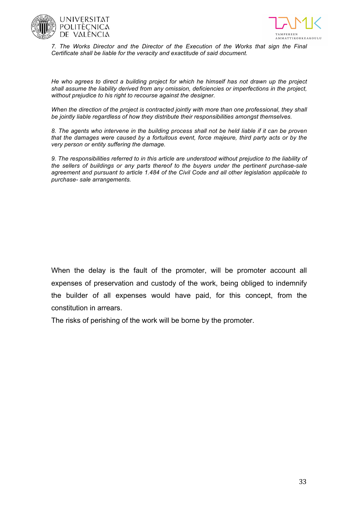



*7. The Works Director and the Director of the Execution of the Works that sign the Final Certificate shall be liable for the veracity and exactitude of said document.*

*He who agrees to direct a building project for which he himself has not drawn up the project shall assume the liability derived from any omission, deficiencies or imperfections in the project, without prejudice to his right to recourse against the designer.*

*When the direction of the project is contracted jointly with more than one professional, they shall be jointly liable regardless of how they distribute their responsibilities amongst themselves.*

*8. The agents who intervene in the building process shall not be held liable if it can be proven that the damages were caused by a fortuitous event, force majeure, third party acts or by the very person or entity suffering the damage.*

*9. The responsibilities referred to in this article are understood without prejudice to the liability of the sellers of buildings or any parts thereof to the buyers under the pertinent purchase-sale agreement and pursuant to article 1.484 of the Civil Code and all other legislation applicable to purchase- sale arrangements.*

When the delay is the fault of the promoter, will be promoter account all expenses of preservation and custody of the work, being obliged to indemnify the builder of all expenses would have paid, for this concept, from the constitution in arrears.

The risks of perishing of the work will be borne by the promoter.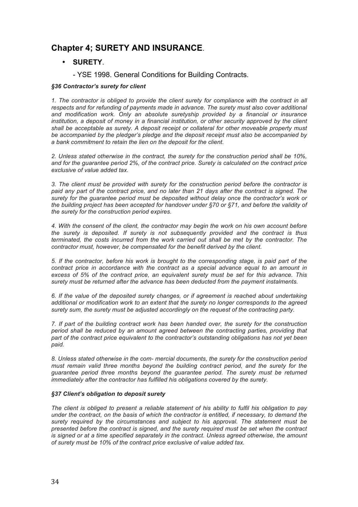## **Chapter 4; SURETY AND INSURANCE**.

### • **SURETY**.

- YSE 1998. General Conditions for Building Contracts.

### *§36 Contractor's surety for client*

*1. The contractor is obliged to provide the client surety for compliance with the contract in all respects and for refunding of payments made in advance. The surety must also cover additional and modification work. Only an absolute suretyship provided by a financial or insurance institution, a deposit of money in a financial institution, or other security approved by the client shall be acceptable as surety. A deposit receipt or collateral for other moveable property must be accompanied by the pledger's pledge and the deposit receipt must also be accompanied by a bank commitment to retain the lien on the deposit for the client.*

*2. Unless stated otherwise in the contract, the surety for the construction period shall be 10%, and for the guarantee period 2%, of the contract price. Surety is calculated on the contract price exclusive of value added tax.*

*3. The client must be provided with surety for the construction period before the contractor is paid any part of the contract price, and no later than 21 days after the contract is signed. The surety for the guarantee period must be deposited without delay once the contractor's work or the building project has been accepted for handover under §70 or §71, and before the validity of the surety for the construction period expires.*

*4. With the consent of the client, the contractor may begin the work on his own account before the surety is deposited. If surety is not subsequently provided and the contract is thus terminated, the costs incurred from the work carried out shall be met by the contractor. The contractor must, however, be compensated for the benefit derived by the client.*

*5. If the contractor, before his work is brought to the corresponding stage, is paid part of the contract price in accordance with the contract as a special advance equal to an amount in excess of 5% of the contract price, an equivalent surety must be set for this advance. This surety must be returned after the advance has been deducted from the payment instalments.*

*6. If the value of the deposited surety changes, or if agreement is reached about undertaking additional or modification work to an extent that the surety no longer corresponds to the agreed surety sum, the surety must be adjusted accordingly on the request of the contracting party.*

*7. If part of the building contract work has been handed over, the surety for the construction period shall be reduced by an amount agreed between the contracting parties, providing that part of the contract price equivalent to the contractor's outstanding obligations has not yet been paid.*

*8. Unless stated otherwise in the com- mercial documents, the surety for the construction period must remain valid three months beyond the building contract period, and the surety for the guarantee period three months beyond the guarantee period. The surety must be returned immediately after the contractor has fulfilled his obligations covered by the surety.*

#### *§37 Client's obligation to deposit surety*

*The client is obliged to present a reliable statement of his ability to fulfil his obligation to pay under the contract, on the basis of which the contractor is entitled, if necessary, to demand the surety required by the circumstances and subject to his approval. The statement must be presented before the contract is signed, and the surety required must be set when the contract is signed or at a time specified separately in the contract. Unless agreed otherwise, the amount of surety must be 10% of the contract price exclusive of value added tax.*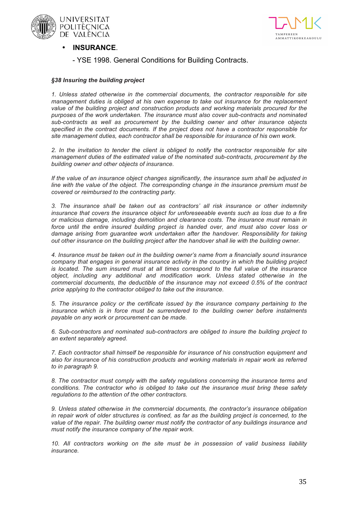



- **INSURANCE**.
	- YSE 1998. General Conditions for Building Contracts.

#### *§38 Insuring the building project*

*1. Unless stated otherwise in the commercial documents, the contractor responsible for site management duties is obliged at his own expense to take out insurance for the replacement value of the building project and construction products and working materials procured for the purposes of the work undertaken. The insurance must also cover sub-contracts and nominated sub-contracts as well as procurement by the building owner and other insurance objects specified in the contract documents. If the project does not have a contractor responsible for site management duties, each contractor shall be responsible for insurance of his own work.*

*2. In the invitation to tender the client is obliged to notify the contractor responsible for site management duties of the estimated value of the nominated sub-contracts, procurement by the building owner and other objects of insurance.*

*If the value of an insurance object changes significantly, the insurance sum shall be adjusted in line with the value of the object. The corresponding change in the insurance premium must be covered or reimbursed to the contracting party.*

*3. The insurance shall be taken out as contractors' all risk insurance or other indemnity insurance that covers the insurance object for unforeseeable events such as loss due to a fire or malicious damage, including demolition and clearance costs. The insurance must remain in*  force until the entire insured building project is handed over, and must also cover loss or *damage arising from guarantee work undertaken after the handover. Responsibility for taking out other insurance on the building project after the handover shall lie with the building owner.*

*4. Insurance must be taken out in the building owner's name from a financially sound insurance company that engages in general insurance activity in the country in which the building project is located. The sum insured must at all times correspond to the full value of the insurance object, including any additional and modification work. Unless stated otherwise in the commercial documents, the deductible of the insurance may not exceed 0.5% of the contract price applying to the contractor obliged to take out the insurance.*

*5. The insurance policy or the certificate issued by the insurance company pertaining to the insurance which is in force must be surrendered to the building owner before instalments payable on any work or procurement can be made.*

*6. Sub-contractors and nominated sub-contractors are obliged to insure the building project to an extent separately agreed.*

*7. Each contractor shall himself be responsible for insurance of his construction equipment and also for insurance of his construction products and working materials in repair work as referred to in paragraph 9.*

*8. The contractor must comply with the safety regulations concerning the insurance terms and conditions. The contractor who is obliged to take out the insurance must bring these safety regulations to the attention of the other contractors.*

*9. Unless stated otherwise in the commercial documents, the contractor's insurance obligation in repair work of older structures is confined, as far as the building project is concerned, to the value of the repair. The building owner must notify the contractor of any buildings insurance and must notify the insurance company of the repair work.*

*10. All contractors working on the site must be in possession of valid business liability insurance.*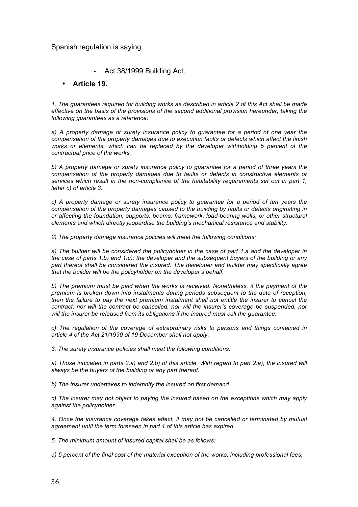### Spanish regulation is saying:

### - Act 38/1999 Building Act.

### • **Article 19.**

*1. The guarantees required for building works as described in article 2 of this Act shall be made effective on the basis of the provisions of the second additional provision hereunder, taking the following guarantees as a reference:*

*a) A property damage or surety insurance policy to guarantee for a period of one year the compensation of the property damages due to execution faults or defects which affect the finish works or elements, which can be replaced by the developer withholding 5 percent of the contractual price of the works.*

*b) A property damage or surety insurance policy to guarantee for a period of three years the compensation of the property damages due to faults or defects in constructive elements or services which result in the non-compliance of the habitability requirements set out in part 1, letter c) of article 3.*

*c) A property damage or surety insurance policy to guarantee for a period of ten years the compensation of the property damages caused to the building by faults or defects originating in or affecting the foundation, supports, beams, framework, load-bearing walls, or other structural elements and which directly jeopardise the building's mechanical resistance and stability.*

*2) The property damage insurance policies will meet the following conditions:*

*a) The builder will be considered the policyholder in the case of part 1.a and the developer in the case of parts 1.b) and 1.c); the developer and the subsequent buyers of the building or any part thereof shall be considered the insured. The developer and builder may specifically agree that the builder will be the policyholder on the developer's behalf.*

*b) The premium must be paid when the works is received. Nonetheless, if the payment of the premium is broken down into instalments during periods subsequent to the date of reception, then the failure to pay the next premium instalment shall not entitle the insurer to cancel the contract, nor will the contract be cancelled, nor will the insurer's coverage be suspended, nor will the insurer be released from its obligations if the insured must call the guarantee.*

*c) The regulation of the coverage of extraordinary risks to persons and things contained in article 4 of the Act 21/1990 of 19 December shall not apply.*

*3. The surety insurance policies shall meet the following conditions:*

a) Those indicated in parts 2.a) and 2.b) of this article. With regard to part 2.a), the insured will *always be the buyers of the building or any part thereof.*

*b) The insurer undertakes to indemnify the insured on first demand.*

*c) The insurer may not object to paying the insured based on the exceptions which may apply against the policyholder.*

*4. Once the insurance coverage takes effect, it may not be cancelled or terminated by mutual agreement until the term foreseen in part 1 of this article has expired.*

*5. The minimum amount of insured capital shall be as follows:*

*a) 5 percent of the final cost of the material execution of the works, including professional fees,*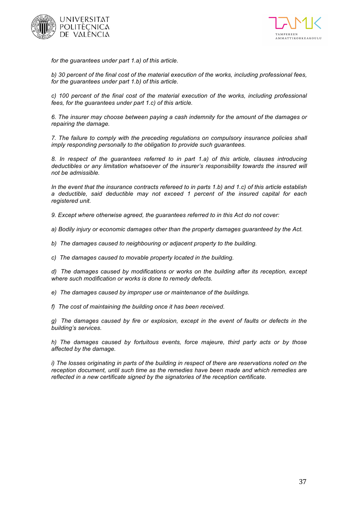



*for the guarantees under part 1.a) of this article.*

*b) 30 percent of the final cost of the material execution of the works, including professional fees, for the guarantees under part 1.b) of this article.*

*c) 100 percent of the final cost of the material execution of the works, including professional fees, for the guarantees under part 1.c) of this article.*

*6. The insurer may choose between paying a cash indemnity for the amount of the damages or repairing the damage.*

*7. The failure to comply with the preceding regulations on compulsory insurance policies shall imply responding personally to the obligation to provide such guarantees.*

*8. In respect of the guarantees referred to in part 1.a) of this article, clauses introducing*  deductibles or any limitation whatsoever of the insurer's responsibility towards the insured will *not be admissible.*

*In the event that the insurance contracts refereed to in parts 1.b) and 1.c) of this article establish a deductible, said deductible may not exceed 1 percent of the insured capital for each registered unit.*

*9. Except where otherwise agreed, the guarantees referred to in this Act do not cover:*

*a) Bodily injury or economic damages other than the property damages guaranteed by the Act.*

*b) The damages caused to neighbouring or adjacent property to the building.* 

*c) The damages caused to movable property located in the building.* 

*d) The damages caused by modifications or works on the building after its reception, except where such modification or works is done to remedy defects.*

*e) The damages caused by improper use or maintenance of the buildings.* 

*f) The cost of maintaining the building once it has been received.* 

*g) The damages caused by fire or explosion, except in the event of faults or defects in the building's services.*

*h) The damages caused by fortuitous events, force majeure, third party acts or by those affected by the damage.*

*i)* The losses originating in parts of the building in respect of there are reservations noted on the *reception document, until such time as the remedies have been made and which remedies are reflected in a new certificate signed by the signatories of the reception certificate.*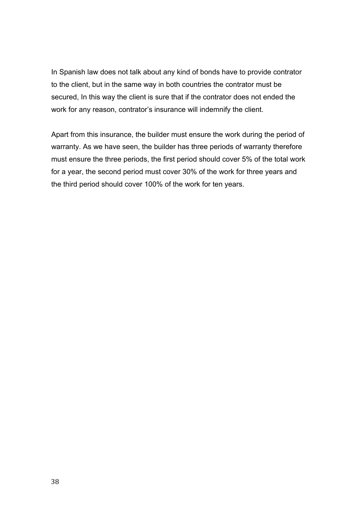In Spanish law does not talk about any kind of bonds have to provide contrator to the client, but in the same way in both countries the contrator must be secured, In this way the client is sure that if the contrator does not ended the work for any reason, contrator's insurance will indemnify the client.

Apart from this insurance, the builder must ensure the work during the period of warranty. As we have seen, the builder has three periods of warranty therefore must ensure the three periods, the first period should cover 5% of the total work for a year, the second period must cover 30% of the work for three years and the third period should cover 100% of the work for ten years.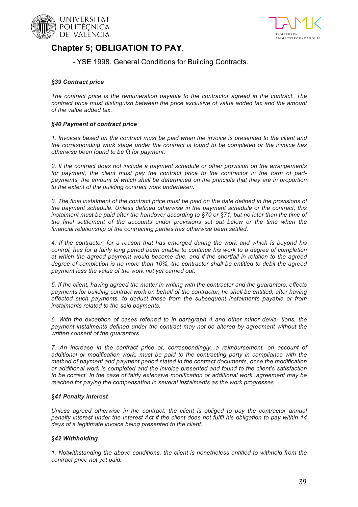



## **Chapter 5; OBLIGATION TO PAY**.

- YSE 1998. General Conditions for Building Contracts.

#### *§39 Contract price*

*The contract price is the remuneration payable to the contractor agreed in the contract. The contract price must distinguish between the price exclusive of value added tax and the amount of the value added tax.*

#### *§40 Payment of contract price*

*1. Invoices based on the contract must be paid when the invoice is presented to the client and the corresponding work stage under the contract is found to be completed or the invoice has otherwise been found to be fit for payment.*

*2. If the contract does not include a payment schedule or other provision on the arrangements for payment, the client must pay the contract price to the contractor in the form of partpayments, the amount of which shall be determined on the principle that they are in proportion to the extent of the building contract work undertaken.*

*3. The final instalment of the contract price must be paid on the date defined in the provisions of the payment schedule. Unless defined otherwise in the payment schedule or the contract, this instalment must be paid after the handover according to §70 or §71, but no later than the time of the final settlement of the accounts under provisions set out below or the time when the financial relationship of the contracting parties has otherwise been settled.*

*4. If the contractor, for a reason that has emerged during the work and which is beyond his control, has for a fairly long period been unable to continue his work to a degree of completion at which the agreed payment would become due, and if the shortfall in relation to the agreed degree of completion is no more than 10%, the contractor shall be entitled to debit the agreed payment less the value of the work not yet carried out.*

*5. If the client, having agreed the matter in writing with the contractor and the guarantors, effects*  payments for building contract work on behalf of the contractor, he shall be entitled, after having *effected such payments, to deduct these from the subsequent instalments payable or from instalments related to the said payments.*

*6. With the exception of cases referred to in paragraph 4 and other minor devia- tions, the payment instalments defined under the contract may not be altered by agreement without the written consent of the guarantors.*

*7. An increase in the contract price or, correspondingly, a reimbursement, on account of additional or modification work, must be paid to the contracting party in compliance with the method of payment and payment period stated in the contract documents, once the modification or additional work is completed and the invoice presented and found to the client's satisfaction to be correct. In the case of fairly extensive modification or additional work, agreement may be reached for paying the compensation in several instalments as the work progresses.*

#### *§41 Penalty interest*

*Unless agreed otherwise in the contract, the client is obliged to pay the contractor annual penalty interest under the Interest Act if the client does not fulfil his obligation to pay within 14 days of a legitimate invoice being presented to the client.*

#### *§42 Withholding*

*1. Notwithstanding the above conditions, the client is nonetheless entitled to withhold from the contract price not yet paid:*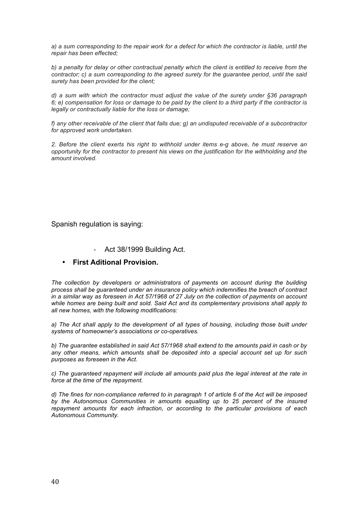*a) a sum corresponding to the repair work for a defect for which the contractor is liable, until the repair has been effected;*

*b) a penalty for delay or other contractual penalty which the client is entitled to receive from the contractor; c) a sum corresponding to the agreed surety for the guarantee period, until the said surety has been provided for the client;*

*d) a sum with which the contractor must adjust the value of the surety under §36 paragraph 6; e) compensation for loss or damage to be paid by the client to a third party if the contractor is legally or contractually liable for the loss or damage;*

*f) any other receivable of the client that falls due; g) an undisputed receivable of a subcontractor for approved work undertaken.*

*2. Before the client exerts his right to withhold under items e-g above, he must reserve an opportunity for the contractor to present his views on the justification for the withholding and the amount involved.*

Spanish regulation is saying:

Act 38/1999 Building Act.

### • **First Aditional Provision.**

*The collection by developers or administrators of payments on account during the building process shall be guaranteed under an insurance policy which indemnifies the breach of contract in a similar way as foreseen in Act 57/1968 of 27 July on the collection of payments on account while homes are being built and sold. Said Act and its complementary provisions shall apply to all new homes, with the following modifications:*

*a) The Act shall apply to the development of all types of housing, including those built under systems of homeowner's associations or co-operatives.*

*b) The guarantee established in said Act 57/1968 shall extend to the amounts paid in cash or by any other means, which amounts shall be deposited into a special account set up for such purposes as foreseen in the Act.*

*c) The guaranteed repayment will include all amounts paid plus the legal interest at the rate in force at the time of the repayment.*

*d) The fines for non-compliance referred to in paragraph 1 of article 6 of the Act will be imposed by the Autonomous Communities in amounts equalling up to 25 percent of the insured repayment amounts for each infraction, or according to the particular provisions of each Autonomous Community.*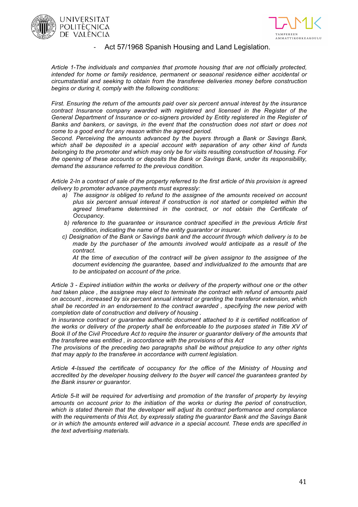





#### Act 57/1968 Spanish Housing and Land Legislation.

*Article 1-The individuals and companies that promote housing that are not officially protected, intended for home or family residence, permanent or seasonal residence either accidental or circumstantial and seeking to obtain from the transferee deliveries money before construction begins or during it, comply with the following conditions:*

*First. Ensuring the return of the amounts paid over six percent annual interest by the insurance contract Insurance company awarded with registered and licensed in the Register of the General Department of Insurance or co-signers provided by Entity registered in the Register of Banks and bankers, or savings, in the event that the construction does not start or does not come to a good end for any reason within the agreed period.*

*Second. Perceiving the amounts advanced by the buyers through a Bank or Savings Bank, which shall be deposited in a special account with separation of any other kind of funds belonging to the promoter and which may only be for visits resulting construction of housing. For the opening of these accounts or deposits the Bank or Savings Bank, under its responsibility, demand the assurance referred to the previous condition.*

*Article 2-In a contract of sale of the property referred to the first article of this provision is agreed delivery to promoter advance payments must expressly:*

- *a) The assignor is obliged to refund to the assignee of the amounts received on account plus six percent annual interest if construction is not started or completed within the agreed timeframe determined in the contract, or not obtain the Certificate of Occupancy.*
- *b) reference to the guarantee or insurance contract specified in the previous Article first condition, indicating the name of the entity guarantor or insurer.*
- *c) Designation of the Bank or Savings bank and the account through which delivery is to be made by the purchaser of the amounts involved would anticipate as a result of the contract.*

*At the time of execution of the contract will be given assignor to the assignee of the document evidencing the guarantee, based and individualized to the amounts that are to be anticipated on account of the price.*

*Article 3 - Expired initiation within the works or delivery of the property without one or the other had taken place , the assignee may elect to terminate the contract with refund of amounts paid on account , increased by six percent annual interest or granting the transferor extension, which shall be recorded in an endorsement to the contract awarded , specifying the new period with completion date of construction and delivery of housing .*

In insurance contract or quarantee authentic document attached to it is certified notification of *the works or delivery of the property shall be enforceable to the purposes stated in Title XV of Book II of the Civil Procedure Act to require the insurer or guarantor delivery of the amounts that the transferee was entitled , in accordance with the provisions of this Act*

*The provisions of the preceding two paragraphs shall be without prejudice to any other rights that may apply to the transferee in accordance with current legislation.*

*Article 4-Issued the certificate of occupancy for the office of the Ministry of Housing and accredited by the developer housing delivery to the buyer will cancel the guarantees granted by the Bank insurer or guarantor.*

*Article 5-It will be required for advertising and promotion of the transfer of property by levying amounts on account prior to the initiation of the works or during the period of construction, which is stated therein that the developer will adjust its contract performance and compliance with the requirements of this Act, by expressly stating the guarantor Bank and the Savings Bank or in which the amounts entered will advance in a special account. These ends are specified in the text advertising materials.*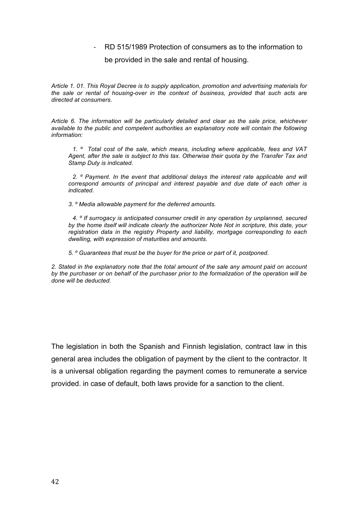- RD 515/1989 Protection of consumers as to the information to

be provided in the sale and rental of housing.

*Article 1. 01. This Royal Decree is to supply application, promotion and advertising materials for the sale or rental of housing-over in the context of business, provided that such acts are directed at consumers.*

*Article 6. The information will be particularly detailed and clear as the sale price, whichever available to the public and competent authorities an explanatory note will contain the following information:*

*1. º Total cost of the sale, which means, including where applicable, fees and VAT Agent, after the sale is subject to this tax. Otherwise their quota by the Transfer Tax and Stamp Duty is indicated.* 

*2. º Payment. In the event that additional delays the interest rate applicable and will correspond amounts of principal and interest payable and due date of each other is indicated.* 

*3. º Media allowable payment for the deferred amounts.* 

*4. º If surrogacy is anticipated consumer credit in any operation by unplanned, secured by the home itself will indicate clearly the authorizer Note Not in scripture, this date, your registration data in the registry Property and liability, mortgage corresponding to each dwelling, with expression of maturities and amounts.* 

*5. º Guarantees that must be the buyer for the price or part of it, postponed.* 

*2. Stated in the explanatory note that the total amount of the sale any amount paid on account by the purchaser or on behalf of the purchaser prior to the formalization of the operation will be done will be deducted.*

The legislation in both the Spanish and Finnish legislation, contract law in this general area includes the obligation of payment by the client to the contractor. It is a universal obligation regarding the payment comes to remunerate a service provided. in case of default, both laws provide for a sanction to the client.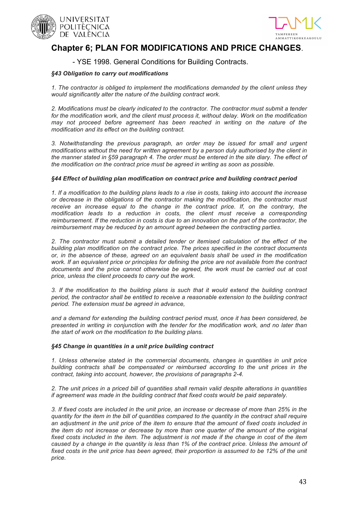



## **Chapter 6; PLAN FOR MODIFICATIONS AND PRICE CHANGES**.

### - YSE 1998. General Conditions for Building Contracts.

#### *§43 Obligation to carry out modifications*

*1. The contractor is obliged to implement the modifications demanded by the client unless they would significantly alter the nature of the building contract work.*

*2. Modifications must be clearly indicated to the contractor. The contractor must submit a tender*  for the modification work, and the client must process it, without delay. Work on the modification *may not proceed before agreement has been reached in writing on the nature of the modification and its effect on the building contract.*

*3. Notwithstanding the previous paragraph, an order may be issued for small and urgent modifications without the need for written agreement by a person duly authorised by the client in the manner stated in §59 paragraph 4. The order must be entered in the site diary. The effect of the modification on the contract price must be agreed in writing as soon as possible.*

#### *§44 Effect of building plan modification on contract price and building contract period*

*1. If a modification to the building plans leads to a rise in costs, taking into account the increase or decrease in the obligations of the contractor making the modification, the contractor must*  receive an increase equal to the change in the contract price. If, on the contrary, the *modification leads to a reduction in costs, the client must receive a corresponding reimbursement. If the reduction in costs is due to an innovation on the part of the contractor, the reimbursement may be reduced by an amount agreed between the contracting parties.*

*2. The contractor must submit a detailed tender or itemised calculation of the effect of the building plan modification on the contract price. The prices specified in the contract documents or, in the absence of these, agreed on an equivalent basis shall be used in the modification work. If an equivalent price or principles for defining the price are not available from the contract documents and the price cannot otherwise be agreed, the work must be carried out at cost price, unless the client proceeds to carry out the work.*

*3. If the modification to the building plans is such that it would extend the building contract period, the contractor shall be entitled to receive a reasonable extension to the building contract period. The extension must be agreed in advance,*

*and a demand for extending the building contract period must, once it has been considered, be presented in writing in conjunction with the tender for the modification work, and no later than the start of work on the modification to the building plans.*

#### *§45 Change in quantities in a unit price building contract*

*1. Unless otherwise stated in the commercial documents, changes in quantities in unit price building contracts shall be compensated or reimbursed according to the unit prices in the contract, taking into account, however, the provisions of paragraphs 2-4.*

*2. The unit prices in a priced bill of quantities shall remain valid despite alterations in quantities if agreement was made in the building contract that fixed costs would be paid separately.*

*3. If fixed costs are included in the unit price, an increase or decrease of more than 25% in the quantity for the item in the bill of quantities compared to the quantity in the contract shall require an adjustment in the unit price of the item to ensure that the amount of fixed costs included in the item do not increase or decrease by more than one quarter of the amount of the original fixed costs included in the item. The adjustment is not made if the change in cost of the item caused by a change in the quantity is less than 1% of the contract price. Unless the amount of*  fixed costs in the unit price has been agreed, their proportion is assumed to be 12% of the unit *price.*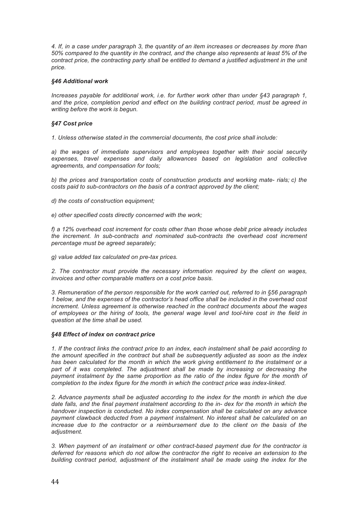*4. If, in a case under paragraph 3, the quantity of an item increases or decreases by more than 50% compared to the quantity in the contract, and the change also represents at least 5% of the*  contract price, the contracting party shall be entitled to demand a justified adjustment in the unit *price.*

#### *§46 Additional work*

*Increases payable for additional work, i.e. for further work other than under §43 paragraph 1, and the price, completion period and effect on the building contract period, must be agreed in writing before the work is begun.*

#### *§47 Cost price*

*1. Unless otherwise stated in the commercial documents, the cost price shall include:*

*a) the wages of immediate supervisors and employees together with their social security expenses, travel expenses and daily allowances based on legislation and collective agreements, and compensation for tools;*

*b) the prices and transportation costs of construction products and working mate- rials; c) the costs paid to sub-contractors on the basis of a contract approved by the client;*

*d) the costs of construction equipment;* 

*e) other specified costs directly concerned with the work;* 

*f) a 12% overhead cost increment for costs other than those whose debit price already includes the increment. In sub-contracts and nominated sub-contracts the overhead cost increment percentage must be agreed separately;*

*g) value added tax calculated on pre-tax prices.*

*2. The contractor must provide the necessary information required by the client on wages, invoices and other comparable matters on a cost price basis.*

*3. Remuneration of the person responsible for the work carried out, referred to in §56 paragraph 1 below, and the expenses of the contractor's head office shall be included in the overhead cost increment. Unless agreement is otherwise reached in the contract documents about the wages of employees or the hiring of tools, the general wage level and tool-hire cost in the field in question at the time shall be used.*

#### *§48 Effect of index on contract price*

*1. If the contract links the contract price to an index, each instalment shall be paid according to the amount specified in the contract but shall be subsequently adjusted as soon as the index has been calculated for the month in which the work giving entitlement to the instalment or a part of it was completed. The adjustment shall be made by increasing or decreasing the payment instalment by the same proportion as the ratio of the index figure for the month of completion to the index figure for the month in which the contract price was index-linked.*

*2. Advance payments shall be adjusted according to the index for the month in which the due date falls, and the final payment instalment according to the in- dex for the month in which the handover inspection is conducted. No index compensation shall be calculated on any advance payment clawback deducted from a payment instalment. No interest shall be calculated on an increase due to the contractor or a reimbursement due to the client on the basis of the adjustment.*

*3. When payment of an instalment or other contract-based payment due for the contractor is deferred for reasons which do not allow the contractor the right to receive an extension to the building contract period, adjustment of the instalment shall be made using the index for the*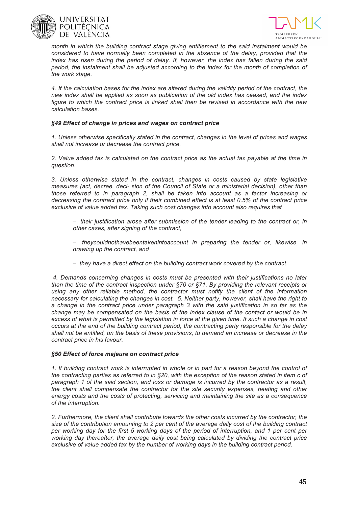



*month in which the building contract stage giving entitlement to the said instalment would be considered to have normally been completed in the absence of the delay, provided that the index has risen during the period of delay. If, however, the index has fallen during the said period, the instalment shall be adjusted according to the index for the month of completion of the work stage.*

*4. If the calculation bases for the index are altered during the validity period of the contract, the new index shall be applied as soon as publication of the old index has ceased, and the index figure to which the contract price is linked shall then be revised in accordance with the new calculation bases.*

#### *§49 Effect of change in prices and wages on contract price*

*1. Unless otherwise specifically stated in the contract, changes in the level of prices and wages shall not increase or decrease the contract price.*

*2. Value added tax is calculated on the contract price as the actual tax payable at the time in question.*

*3. Unless otherwise stated in the contract, changes in costs caused by state legislative measures (act, decree, deci- sion of the Council of State or a ministerial decision), other than those referred to in paragraph 2, shall be taken into account as a factor increasing or decreasing the contract price only if their combined effect is at least 0.5% of the contract price exclusive of value added tax. Taking such cost changes into account also requires that*

- *– their justification arose after submission of the tender leading to the contract or, in other cases, after signing of the contract,*
- *– theycouldnothavebeentakenintoaccount in preparing the tender or, likewise, in drawing up the contract, and*
- *– they have a direct effect on the building contract work covered by the contract.*

*4. Demands concerning changes in costs must be presented with their justifications no later than the time of the contract inspection under §70 or §71. By providing the relevant receipts or using any other reliable method, the contractor must notify the client of the information necessary for calculating the changes in cost. 5. Neither party, however, shall have the right to a change in the contract price under paragraph 3 with the said justification in so far as the change may be compensated on the basis of the index clause of the contact or would be in excess of what is permitted by the legislation in force at the given time. If such a change in cost occurs at the end of the building contract period, the contracting party responsible for the delay shall not be entitled, on the basis of these provisions, to demand an increase or decrease in the contract price in his favour.* 

#### *§50 Effect of force majeure on contract price*

*1. If building contract work is interrupted in whole or in part for a reason beyond the control of the contracting parties as referred to in §20, with the exception of the reason stated in item c of paragraph 1 of the said section, and loss or damage is incurred by the contractor as a result, the client shall compensate the contractor for the site security expenses, heating and other energy costs and the costs of protecting, servicing and maintaining the site as a consequence of the interruption.*

*2. Furthermore, the client shall contribute towards the other costs incurred by the contractor, the size of the contribution amounting to 2 per cent of the average daily cost of the building contract per working day for the first 5 working days of the period of interruption, and 1 per cent per working day thereafter, the average daily cost being calculated by dividing the contract price exclusive of value added tax by the number of working days in the building contract period.*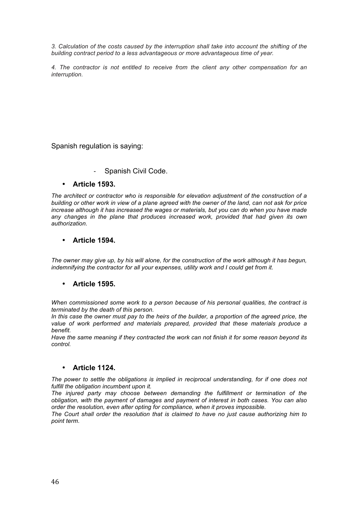*3. Calculation of the costs caused by the interruption shall take into account the shifting of the building contract period to a less advantageous or more advantageous time of year.*

*4. The contractor is not entitled to receive from the client any other compensation for an interruption.*

Spanish regulation is saying:

Spanish Civil Code.

### • **Article 1593.**

*The architect or contractor who is responsible for elevation adjustment of the construction of a building or other work in view of a plane agreed with the owner of the land, can not ask for price increase although it has increased the wages or materials, but you can do when you have made*  any changes in the plane that produces increased work, provided that had given its own *authorization.*

### • **Article 1594.**

*The owner may give up, by his will alone, for the construction of the work although it has begun, indemnifying the contractor for all your expenses, utility work and I could get from it.*

### • **Article 1595.**

*When commissioned some work to a person because of his personal qualities, the contract is terminated by the death of this person.*

*In this case the owner must pay to the heirs of the builder, a proportion of the agreed price, the value of work performed and materials prepared, provided that these materials produce a benefit.*

*Have the same meaning if they contracted the work can not finish it for some reason beyond its control.*

### • **Article 1124.**

*The power to settle the obligations is implied in reciprocal understanding, for if one does not fulfill the obligation incumbent upon it.*

*The injured party may choose between demanding the fulfillment or termination of the obligation, with the payment of damages and payment of interest in both cases. You can also order the resolution, even after opting for compliance, when it proves impossible.*

*The Court shall order the resolution that is claimed to have no just cause authorizing him to point term.*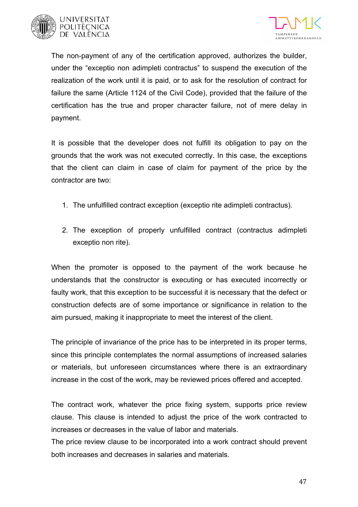



The non-payment of any of the certification approved, authorizes the builder, under the "exceptio non adimpleti contractus" to suspend the execution of the realization of the work until it is paid, or to ask for the resolution of contract for failure the same (Article 1124 of the Civil Code), provided that the failure of the certification has the true and proper character failure, not of mere delay in payment.

It is possible that the developer does not fulfill its obligation to pay on the grounds that the work was not executed correctly. In this case, the exceptions that the client can claim in case of claim for payment of the price by the contractor are two:

- 1. The unfulfilled contract exception (exceptio rite adimpleti contractus).
- 2. The exception of properly unfulfilled contract (contractus adimpleti exceptio non rite).

When the promoter is opposed to the payment of the work because he understands that the constructor is executing or has executed incorrectly or faulty work, that this exception to be successful it is necessary that the defect or construction defects are of some importance or significance in relation to the aim pursued, making it inappropriate to meet the interest of the client.

The principle of invariance of the price has to be interpreted in its proper terms, since this principle contemplates the normal assumptions of increased salaries or materials, but unforeseen circumstances where there is an extraordinary increase in the cost of the work, may be reviewed prices offered and accepted.

The contract work, whatever the price fixing system, supports price review clause. This clause is intended to adjust the price of the work contracted to increases or decreases in the value of labor and materials.

The price review clause to be incorporated into a work contract should prevent both increases and decreases in salaries and materials.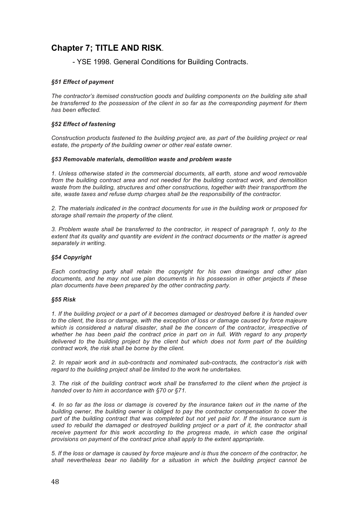## **Chapter 7; TITLE AND RISK**.

- YSE 1998. General Conditions for Building Contracts.

#### *§51 Effect of payment*

*The contractor's itemised construction goods and building components on the building site shall be transferred to the possession of the client in so far as the corresponding payment for them has been effected.*

#### *§52 Effect of fastening*

*Construction products fastened to the building project are, as part of the building project or real estate, the property of the building owner or other real estate owner.*

#### *§53 Removable materials, demolition waste and problem waste*

*1. Unless otherwise stated in the commercial documents, all earth, stone and wood removable*  from the building contract area and not needed for the building contract work, and demolition *waste from the building, structures and other constructions, together with their transportfrom the site, waste taxes and refuse dump charges shall be the responsibility of the contractor.*

*2. The materials indicated in the contract documents for use in the building work or proposed for storage shall remain the property of the client.*

*3. Problem waste shall be transferred to the contractor, in respect of paragraph 1, only to the extent that its quality and quantity are evident in the contract documents or the matter is agreed separately in writing.*

#### *§54 Copyright*

*Each contracting party shall retain the copyright for his own drawings and other plan documents, and he may not use plan documents in his possession in other projects if these plan documents have been prepared by the other contracting party.*

#### *§55 Risk*

*1. If the building project or a part of it becomes damaged or destroyed before it is handed over to the client, the loss or damage, with the exception of loss or damage caused by force majeure which is considered a natural disaster, shall be the concern of the contractor, irrespective of*  whether he has been paid the contract price in part on in full. With regard to any property *delivered to the building project by the client but which does not form part of the building contract work, the risk shall be borne by the client.*

*2. In repair work and in sub-contracts and nominated sub-contracts, the contractor's risk with regard to the building project shall be limited to the work he undertakes.*

*3. The risk of the building contract work shall be transferred to the client when the project is handed over to him in accordance with §70 or §71.*

*4. In so far as the loss or damage is covered by the insurance taken out in the name of the building owner, the building owner is obliged to pay the contractor compensation to cover the part of the building contract that was completed but not yet paid for. If the insurance sum is*  used to rebuild the damaged or destroyed building project or a part of it, the contractor shall receive payment for this work according to the progress made, in which case the original *provisions on payment of the contract price shall apply to the extent appropriate.*

*5. If the loss or damage is caused by force majeure and is thus the concern of the contractor, he shall nevertheless bear no liability for a situation in which the building project cannot be*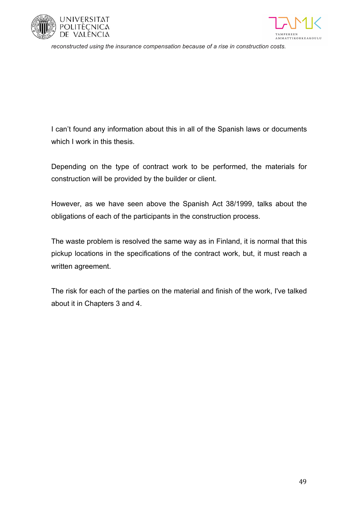



*reconstructed using the insurance compensation because of a rise in construction costs.*

I can't found any information about this in all of the Spanish laws or documents which I work in this thesis.

Depending on the type of contract work to be performed, the materials for construction will be provided by the builder or client.

However, as we have seen above the Spanish Act 38/1999, talks about the obligations of each of the participants in the construction process.

The waste problem is resolved the same way as in Finland, it is normal that this pickup locations in the specifications of the contract work, but, it must reach a written agreement.

The risk for each of the parties on the material and finish of the work, I've talked about it in Chapters 3 and 4.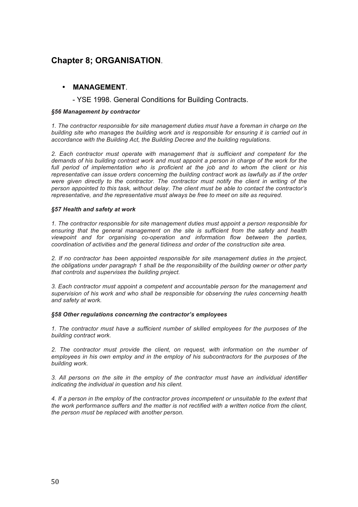## **Chapter 8; ORGANISATION**.

### • **MANAGEMENT**.

- YSE 1998. General Conditions for Building Contracts.

#### *§56 Management by contractor*

*1. The contractor responsible for site management duties must have a foreman in charge on the building site who manages the building work and is responsible for ensuring it is carried out in accordance with the Building Act, the Building Decree and the building regulations.*

*2. Each contractor must operate with management that is sufficient and competent for the demands of his building contract work and must appoint a person in charge of the work for the full period of implementation who is proficient at the job and to whom the client or his representative can issue orders concerning the building contract work as lawfully as if the order were given directly to the contractor. The contractor must notify the client in writing of the person appointed to this task, without delay. The client must be able to contact the contractor's representative, and the representative must always be free to meet on site as required.*

#### *§57 Health and safety at work*

*1. The contractor responsible for site management duties must appoint a person responsible for ensuring that the general management on the site is sufficient from the safety and health viewpoint and for organising co-operation and information flow between the parties, coordination of activities and the general tidiness and order of the construction site area.*

*2. If no contractor has been appointed responsible for site management duties in the project, the obligations under paragraph 1 shall be the responsibility of the building owner or other party that controls and supervises the building project.*

*3. Each contractor must appoint a competent and accountable person for the management and supervision of his work and who shall be responsible for observing the rules concerning health and safety at work.*

#### *§58 Other regulations concerning the contractor's employees*

*1. The contractor must have a sufficient number of skilled employees for the purposes of the building contract work.*

*2. The contractor must provide the client, on request, with information on the number of employees in his own employ and in the employ of his subcontractors for the purposes of the building work.*

*3. All persons on the site in the employ of the contractor must have an individual identifier indicating the individual in question and his client.*

*4. If a person in the employ of the contractor proves incompetent or unsuitable to the extent that the work performance suffers and the matter is not rectified with a written notice from the client, the person must be replaced with another person.*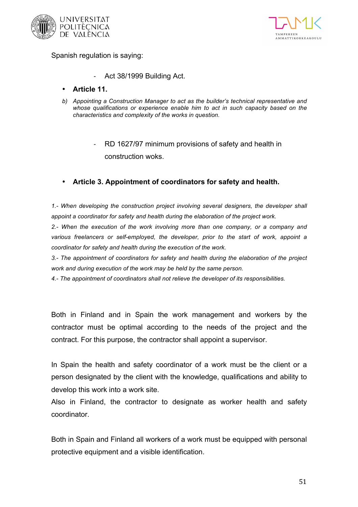



Spanish regulation is saying:

- Act 38/1999 Building Act.
- **Article 11.**
- *b) Appointing a Construction Manager to act as the builder's technical representative and whose qualifications or experience enable him to act in such capacity based on the characteristics and complexity of the works in question.*
	- RD 1627/97 minimum provisions of safety and health in construction woks.
- **Article 3. Appointment of coordinators for safety and health.**

*1.- When developing the construction project involving several designers, the developer shall appoint a coordinator for safety and health during the elaboration of the project work.*

*2.- When the execution of the work involving more than one company, or a company and*  various freelancers or self-employed, the developer, prior to the start of work, appoint a *coordinator for safety and health during the execution of the work.*

*3.- The appointment of coordinators for safety and health during the elaboration of the project work and during execution of the work may be held by the same person.*

*4.- The appointment of coordinators shall not relieve the developer of its responsibilities.*

Both in Finland and in Spain the work management and workers by the contractor must be optimal according to the needs of the project and the contract. For this purpose, the contractor shall appoint a supervisor.

In Spain the health and safety coordinator of a work must be the client or a person designated by the client with the knowledge, qualifications and ability to develop this work into a work site.

Also in Finland, the contractor to designate as worker health and safety coordinator.

Both in Spain and Finland all workers of a work must be equipped with personal protective equipment and a visible identification.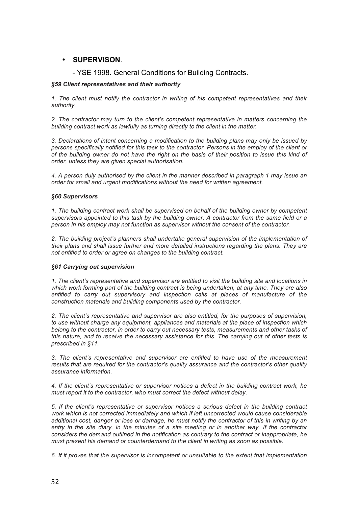### • **SUPERVISON**.

### - YSE 1998. General Conditions for Building Contracts.

#### *§59 Client representatives and their authority*

*1. The client must notify the contractor in writing of his competent representatives and their authority.*

*2. The contractor may turn to the client's competent representative in matters concerning the building contract work as lawfully as turning directly to the client in the matter.*

*3. Declarations of intent concerning a modification to the building plans may only be issued by persons specifically notified for this task to the contractor. Persons in the employ of the client or of the building owner do not have the right on the basis of their position to issue this kind of order, unless they are given special authorisation.*

*4. A person duly authorised by the client in the manner described in paragraph 1 may issue an order for small and urgent modifications without the need for written agreement.*

#### *§60 Supervisors*

*1. The building contract work shall be supervised on behalf of the building owner by competent supervisors appointed to this task by the building owner. A contractor from the same field or a person in his employ may not function as supervisor without the consent of the contractor.*

*2. The building project's planners shall undertake general supervision of the implementation of their plans and shall issue further and more detailed instructions regarding the plans. They are not entitled to order or agree on changes to the building contract.*

#### *§61 Carrying out supervision*

*1. The client's representative and supervisor are entitled to visit the building site and locations in which work forming part of the building contract is being undertaken, at any time. They are also entitled to carry out supervisory and inspection calls at places of manufacture of the construction materials and building components used by the contractor.*

*2. The client's representative and supervisor are also entitled, for the purposes of supervision, to use without charge any equipment, appliances and materials at the place of inspection which belong to the contractor, in order to carry out necessary tests, measurements and other tasks of this nature, and to receive the necessary assistance for this. The carrying out of other tests is prescribed in §11.*

*3. The client's representative and supervisor are entitled to have use of the measurement results that are required for the contractor's quality assurance and the contractor's other quality assurance information.*

*4. If the client's representative or supervisor notices a defect in the building contract work, he must report it to the contractor, who must correct the defect without delay.*

*5. If the client's representative or supervisor notices a serious defect in the building contract work which is not corrected immediately and which if left uncorrected would cause considerable additional cost, danger or loss or damage, he must notify the contractor of this in writing by an entry in the site diary, in the minutes of a site meeting or in another way. If the contractor considers the demand outlined in the notification as contrary to the contract or inappropriate, he must present his demand or counterdemand to the client in writing as soon as possible.*

*6. If it proves that the supervisor is incompetent or unsuitable to the extent that implementation*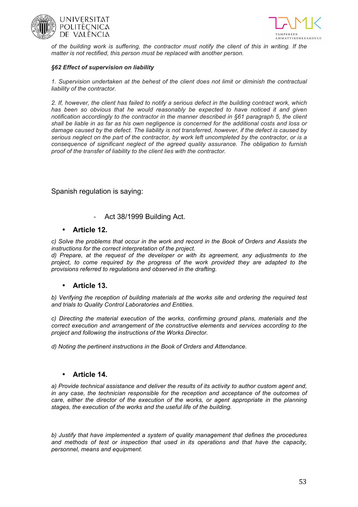



*of the building work is suffering, the contractor must notify the client of this in writing. If the matter is not rectified, this person must be replaced with another person.*

#### *§62 Effect of supervision on liability*

*1. Supervision undertaken at the behest of the client does not limit or diminish the contractual liability of the contractor.*

*2. If, however, the client has failed to notify a serious defect in the building contract work, which*  has been so obvious that he would reasonably be expected to have noticed it and given *notification accordingly to the contractor in the manner described in §61 paragraph 5, the client shall be liable in as far as his own negligence is concerned for the additional costs and loss or damage caused by the defect. The liability is not transferred, however, if the defect is caused by serious neglect on the part of the contractor, by work left uncompleted by the contractor, or is a consequence of significant neglect of the agreed quality assurance. The obligation to furnish proof of the transfer of liability to the client lies with the contractor.*

Spanish regulation is saying:

Act 38/1999 Building Act.

### • **Article 12.**

*c) Solve the problems that occur in the work and record in the Book of Orders and Assists the instructions for the correct interpretation of the project.*

*d) Prepare, at the request of the developer or with its agreement, any adjustments to the project, to come required by the progress of the work provided they are adapted to the provisions referred to regulations and observed in the drafting.*

### • **Article 13.**

*b) Verifying the reception of building materials at the works site and ordering the required test and trials to Quality Control Laboratories and Entities.*

*c) Directing the material execution of the works, confirming ground plans, materials and the correct execution and arrangement of the constructive elements and services according to the project and following the instructions of the Works Director.*

*d) Noting the pertinent instructions in the Book of Orders and Attendance.*

### • **Article 14.**

*a) Provide technical assistance and deliver the results of its activity to author custom agent and, in any case, the technician responsible for the reception and acceptance of the outcomes of care, either the director of the execution of the works, or agent appropriate in the planning stages, the execution of the works and the useful life of the building.*

*b) Justify that have implemented a system of quality management that defines the procedures and methods of test or inspection that used in its operations and that have the capacity, personnel, means and equipment.*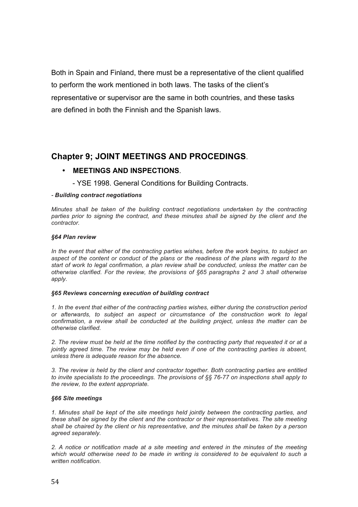Both in Spain and Finland, there must be a representative of the client qualified to perform the work mentioned in both laws. The tasks of the client's representative or supervisor are the same in both countries, and these tasks are defined in both the Finnish and the Spanish laws.

## **Chapter 9; JOINT MEETINGS AND PROCEDINGS**.

### • **MEETINGS AND INSPECTIONS**.

- YSE 1998. General Conditions for Building Contracts.

#### *- Building contract negotiations*

*Minutes shall be taken of the building contract negotiations undertaken by the contracting parties prior to signing the contract, and these minutes shall be signed by the client and the contractor.*

#### *§64 Plan review*

In the event that either of the contracting parties wishes, before the work begins, to subject an aspect of the content or conduct of the plans or the readiness of the plans with regard to the *start of work to legal confirmation, a plan review shall be conducted, unless the matter can be otherwise clarified. For the review, the provisions of §65 paragraphs 2 and 3 shall otherwise apply.*

#### *§65 Reviews concerning execution of building contract*

*1. In the event that either of the contracting parties wishes, either during the construction period or afterwards, to subject an aspect or circumstance of the construction work to legal confirmation, a review shall be conducted at the building project, unless the matter can be otherwise clarified.*

*2. The review must be held at the time notified by the contracting party that requested it or at a*  jointly agreed time. The review may be held even if one of the contracting parties is absent, *unless there is adequate reason for the absence.*

*3. The review is held by the client and contractor together. Both contracting parties are entitled to invite specialists to the proceedings. The provisions of §§ 76-77 on inspections shall apply to the review, to the extent appropriate.*

#### *§66 Site meetings*

*1. Minutes shall be kept of the site meetings held jointly between the contracting parties, and these shall be signed by the client and the contractor or their representatives. The site meeting shall be chaired by the client or his representative, and the minutes shall be taken by a person agreed separately.*

*2. A notice or notification made at a site meeting and entered in the minutes of the meeting*  which would otherwise need to be made in writing is considered to be equivalent to such a *written notification.*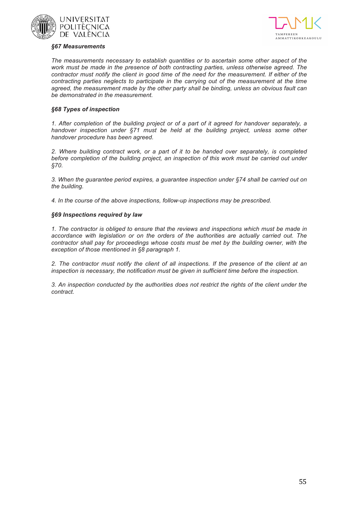



#### *§67 Measurements*

*The measurements necessary to establish quantities or to ascertain some other aspect of the work must be made in the presence of both contracting parties, unless otherwise agreed. The contractor must notify the client in good time of the need for the measurement. If either of the contracting parties neglects to participate in the carrying out of the measurement at the time agreed, the measurement made by the other party shall be binding, unless an obvious fault can be demonstrated in the measurement.*

#### *§68 Types of inspection*

*1. After completion of the building project or of a part of it agreed for handover separately, a handover inspection under §71 must be held at the building project, unless some other handover procedure has been agreed.*

*2. Where building contract work, or a part of it to be handed over separately, is completed before completion of the building project, an inspection of this work must be carried out under §70.*

*3. When the guarantee period expires, a guarantee inspection under §74 shall be carried out on the building.*

*4. In the course of the above inspections, follow-up inspections may be prescribed.*

#### *§69 Inspections required by law*

*1. The contractor is obliged to ensure that the reviews and inspections which must be made in accordance with legislation or on the orders of the authorities are actually carried out. The contractor shall pay for proceedings whose costs must be met by the building owner, with the exception of those mentioned in §8 paragraph 1.*

*2. The contractor must notify the client of all inspections. If the presence of the client at an inspection is necessary, the notification must be given in sufficient time before the inspection.*

*3. An inspection conducted by the authorities does not restrict the rights of the client under the contract.*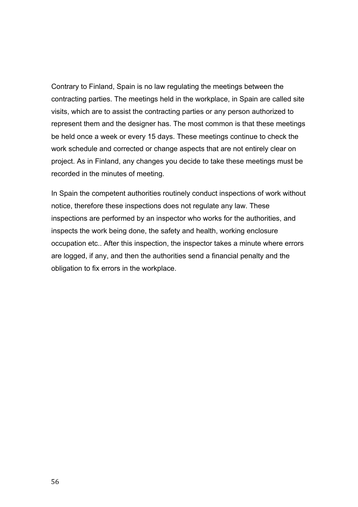Contrary to Finland, Spain is no law regulating the meetings between the contracting parties. The meetings held in the workplace, in Spain are called site visits, which are to assist the contracting parties or any person authorized to represent them and the designer has. The most common is that these meetings be held once a week or every 15 days. These meetings continue to check the work schedule and corrected or change aspects that are not entirely clear on project. As in Finland, any changes you decide to take these meetings must be recorded in the minutes of meeting.

In Spain the competent authorities routinely conduct inspections of work without notice, therefore these inspections does not regulate any law. These inspections are performed by an inspector who works for the authorities, and inspects the work being done, the safety and health, working enclosure occupation etc.. After this inspection, the inspector takes a minute where errors are logged, if any, and then the authorities send a financial penalty and the obligation to fix errors in the workplace.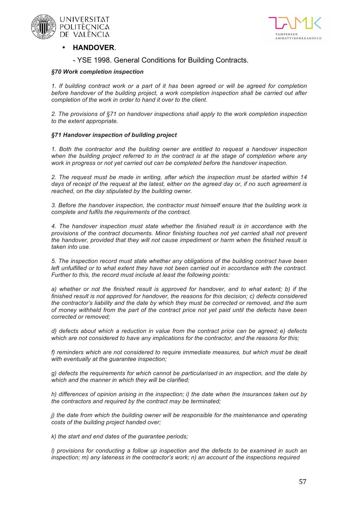



### • **HANDOVER**.

### - YSE 1998. General Conditions for Building Contracts.

#### *§70 Work completion inspection*

*1. If building contract work or a part of it has been agreed or will be agreed for completion before handover of the building project, a work completion inspection shall be carried out after completion of the work in order to hand it over to the client.*

*2. The provisions of §71 on handover inspections shall apply to the work completion inspection to the extent appropriate.*

#### *§71 Handover inspection of building project*

*1. Both the contractor and the building owner are entitled to request a handover inspection*  when the building project referred to in the contract is at the stage of completion where any *work in progress or not yet carried out can be completed before the handover inspection.*

*2. The request must be made in writing, after which the inspection must be started within 14 days of receipt of the request at the latest, either on the agreed day or, if no such agreement is reached, on the day stipulated by the building owner.*

*3. Before the handover inspection, the contractor must himself ensure that the building work is complete and fulfils the requirements of the contract.*

*4. The handover inspection must state whether the finished result is in accordance with the provisions of the contract documents. Minor finishing touches not yet carried shall not prevent the handover, provided that they will not cause impediment or harm when the finished result is taken into use.*

*5. The inspection record must state whether any obligations of the building contract have been*  left unfulfilled or to what extent they have not been carried out in accordance with the contract. *Further to this, the record must include at least the following points:*

*a) whether or not the finished result is approved for handover, and to what extent; b) if the finished result is not approved for handover, the reasons for this decision; c) defects considered the contractor's liability and the date by which they must be corrected or removed, and the sum of money withheld from the part of the contract price not yet paid until the defects have been corrected or removed;*

*d) defects about which a reduction in value from the contract price can be agreed; e) defects*  which are not considered to have any implications for the contractor, and the reasons for this;

f) reminders which are not considered to require immediate measures, but which must be dealt *with eventually at the guarantee inspection;*

*g) defects the requirements for which cannot be particularised in an inspection, and the date by which and the manner in which they will be clarified;*

*h) differences of opinion arising in the inspection; i) the date when the insurances taken out by the contractors and required by the contract may be terminated;*

*j)* the date from which the building owner will be responsible for the maintenance and operating *costs of the building project handed over;*

*k) the start and end dates of the guarantee periods;*

*l)* provisions for conducting a follow up inspection and the defects to be examined in such an *inspection; m) any lateness in the contractor's work; n) an account of the inspections required*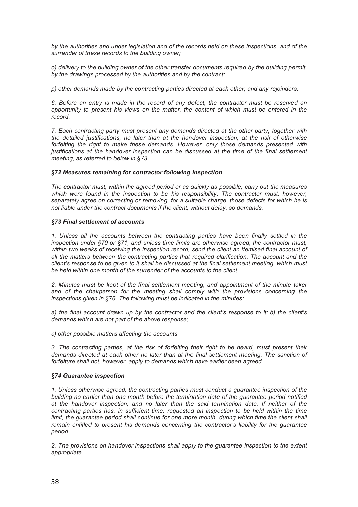*by the authorities and under legislation and of the records held on these inspections, and of the surrender of these records to the building owner;*

*o) delivery to the building owner of the other transfer documents required by the building permit, by the drawings processed by the authorities and by the contract;*

*p) other demands made by the contracting parties directed at each other, and any rejoinders;*

*6. Before an entry is made in the record of any defect, the contractor must be reserved an opportunity to present his views on the matter, the content of which must be entered in the record.*

*7. Each contracting party must present any demands directed at the other party, together with the detailed justifications, no later than at the handover inspection, at the risk of otherwise*  forfeiting the right to make these demands. However, only those demands presented with *justifications at the handover inspection can be discussed at the time of the final settlement meeting, as referred to below in §73.*

#### *§72 Measures remaining for contractor following inspection*

*The contractor must, within the agreed period or as quickly as possible, carry out the measures*  which were found in the inspection to be his responsibility. The contractor must, however, *separately agree on correcting or removing, for a suitable charge, those defects for which he is not liable under the contract documents if the client, without delay, so demands.*

#### *§73 Final settlement of accounts*

*1. Unless all the accounts between the contracting parties have been finally settled in the inspection under §70 or §71, and unless time limits are otherwise agreed, the contractor must, within two weeks of receiving the inspection record, send the client an itemised final account of all the matters between the contracting parties that required clarification. The account and the client's response to be given to it shall be discussed at the final settlement meeting, which must be held within one month of the surrender of the accounts to the client.*

*2. Minutes must be kept of the final settlement meeting, and appointment of the minute taker and of the chairperson for the meeting shall comply with the provisions concerning the inspections given in §76. The following must be indicated in the minutes:*

*a) the final account drawn up by the contractor and the client's response to it; b) the client's demands which are not part of the above response;*

*c) other possible matters affecting the accounts.*

*3. The contracting parties, at the risk of forfeiting their right to be heard, must present their*  demands directed at each other no later than at the final settlement meeting. The sanction of *forfeiture shall not, however, apply to demands which have earlier been agreed.*

#### *§74 Guarantee inspection*

*1. Unless otherwise agreed, the contracting parties must conduct a guarantee inspection of the building no earlier than one month before the termination date of the guarantee period notified at the handover inspection, and no later than the said termination date. If neither of the contracting parties has, in sufficient time, requested an inspection to be held within the time limit, the quarantee period shall continue for one more month, during which time the client shall remain entitled to present his demands concerning the contractor's liability for the guarantee period.*

*2. The provisions on handover inspections shall apply to the guarantee inspection to the extent appropriate.*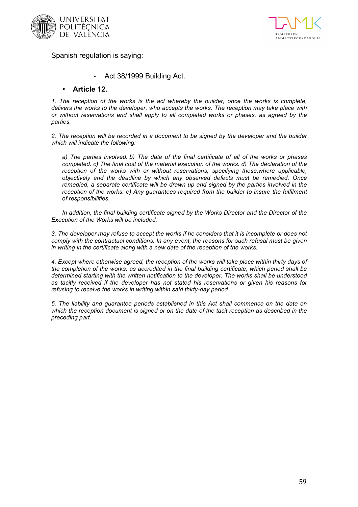



Spanish regulation is saying:

Act 38/1999 Building Act.

### • **Article 12.**

*1. The reception of the works is the act whereby the builder, once the works is complete, delivers the works to the developer, who accepts the works. The reception may take place with or without reservations and shall apply to all completed works or phases, as agreed by the parties.*

*2. The reception will be recorded in a document to be signed by the developer and the builder which will indicate the following:*

*a) The parties involved. b) The date of the final certificate of all of the works or phases completed. c) The final cost of the material execution of the works. d) The declaration of the reception of the works with or without reservations, specifying these,where applicable, objectively and the deadline by which any observed defects must be remedied. Once remedied, a separate certificate will be drawn up and signed by the parties involved in the reception of the works. e) Any guarantees required from the builder to insure the fulfilment of responsibilities.*

*In addition, the final building certificate signed by the Works Director and the Director of the Execution of the Works will be included.*

*3. The developer may refuse to accept the works if he considers that it is incomplete or does not comply with the contractual conditions. In any event, the reasons for such refusal must be given in writing in the certificate along with a new date of the reception of the works.*

*4. Except where otherwise agreed, the reception of the works will take place within thirty days of the completion of the works, as accredited in the final building certificate, which period shall be determined starting with the written notification to the developer. The works shall be understood as tacitly received if the developer has not stated his reservations or given his reasons for refusing to receive the works in writing within said thirty-day period.*

*5. The liability and guarantee periods established in this Act shall commence on the date on which the reception document is signed or on the date of the tacit reception as described in the preceding part.*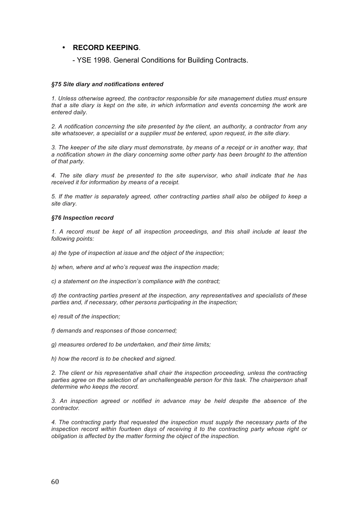### • **RECORD KEEPING**.

- YSE 1998. General Conditions for Building Contracts.

#### *§75 Site diary and notifications entered*

*1. Unless otherwise agreed, the contractor responsible for site management duties must ensure that a site diary is kept on the site, in which information and events concerning the work are entered daily.*

*2. A notification concerning the site presented by the client, an authority, a contractor from any site whatsoever, a specialist or a supplier must be entered, upon request, in the site diary.*

*3. The keeper of the site diary must demonstrate, by means of a receipt or in another way, that a notification shown in the diary concerning some other party has been brought to the attention of that party.*

*4. The site diary must be presented to the site supervisor, who shall indicate that he has received it for information by means of a receipt.*

*5. If the matter is separately agreed, other contracting parties shall also be obliged to keep a site diary.*

#### *§76 Inspection record*

*1. A record must be kept of all inspection proceedings, and this shall include at least the following points:*

*a) the type of inspection at issue and the object of the inspection;* 

*b) when, where and at who's request was the inspection made;*

*c) a statement on the inspection's compliance with the contract;* 

*d) the contracting parties present at the inspection, any representatives and specialists of these parties and, if necessary, other persons participating in the inspection;*

*e) result of the inspection;* 

*f) demands and responses of those concerned;* 

*g) measures ordered to be undertaken, and their time limits;* 

*h) how the record is to be checked and signed.*

*2. The client or his representative shall chair the inspection proceeding, unless the contracting*  parties agree on the selection of an unchallengeable person for this task. The chairperson shall *determine who keeps the record.*

*3. An inspection agreed or notified in advance may be held despite the absence of the contractor.*

*4. The contracting party that requested the inspection must supply the necessary parts of the inspection record within fourteen days of receiving it to the contracting party whose right or obligation is affected by the matter forming the object of the inspection.*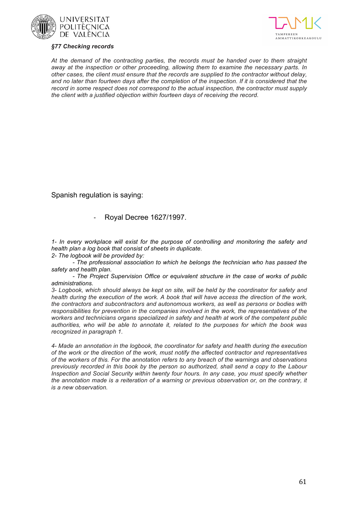





*At the demand of the contracting parties, the records must be handed over to them straight away at the inspection or other proceeding, allowing them to examine the necessary parts. In other cases, the client must ensure that the records are supplied to the contractor without delay, and no later than fourteen days after the completion of the inspection. If it is considered that the record in some respect does not correspond to the actual inspection, the contractor must supply the client with a justified objection within fourteen days of receiving the record.*

Spanish regulation is saying:

- Royal Decree 1627/1997.

*1- In every workplace will exist for the purpose of controlling and monitoring the safety and health plan a log book that consist of sheets in duplicate.*

*2- The logbook will be provided by:*

*- The professional association to which he belongs the technician who has passed the safety and health plan.*

*- The Project Supervision Office or equivalent structure in the case of works of public administrations.*

*3- Logbook, which should always be kept on site, will be held by the coordinator for safety and health during the execution of the work. A book that will have access the direction of the work, the contractors and subcontractors and autonomous workers, as well as persons or bodies with*  responsibilities for prevention in the companies involved in the work, the representatives of the *workers and technicians organs specialized in safety and health at work of the competent public authorities, who will be able to annotate it, related to the purposes for which the book was recognized in paragraph 1.*

*4- Made an annotation in the logbook, the coordinator for safety and health during the execution of the work or the direction of the work, must notify the affected contractor and representatives of the workers of this. For the annotation refers to any breach of the warnings and observations previously recorded in this book by the person so authorized, shall send a copy to the Labour Inspection and Social Security within twenty four hours. In any case, you must specify whether the annotation made is a reiteration of a warning or previous observation or, on the contrary, it is a new observation.*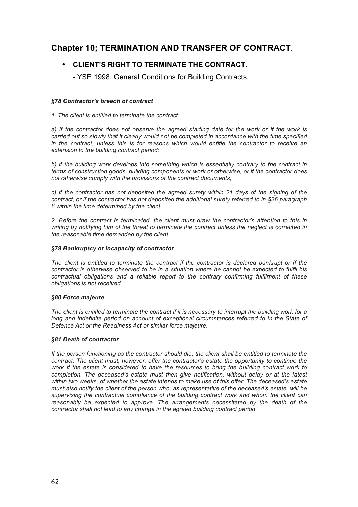## **Chapter 10; TERMINATION AND TRANSFER OF CONTRACT**.

### • **CLIENT'S RIGHT TO TERMINATE THE CONTRACT**.

- YSE 1998. General Conditions for Building Contracts.

#### *§78 Contractor's breach of contract*

*1. The client is entitled to terminate the contract:*

*a) if the contractor does not observe the agreed starting date for the work or if the work is carried out so slowly that it clearly would not be completed in accordance with the time specified in the contract, unless this is for reasons which would entitle the contractor to receive an extension to the building contract period;*

*b) if the building work develops into something which is essentially contrary to the contract in terms of construction goods, building components or work or otherwise, or if the contractor does not otherwise comply with the provisions of the contract documents;*

*c) if the contractor has not deposited the agreed surety within 21 days of the signing of the contract, or if the contractor has not deposited the additional surety referred to in §36 paragraph 6 within the time determined by the client.*

*2. Before the contract is terminated, the client must draw the contractor's attention to this in writing by notifying him of the threat to terminate the contract unless the neglect is corrected in the reasonable time demanded by the client.*

#### *§79 Bankruptcy or incapacity of contractor*

*The client is entitled to terminate the contract if the contractor is declared bankrupt or if the contractor is otherwise observed to be in a situation where he cannot be expected to fulfil his contractual obligations and a reliable report to the contrary confirming fulfilment of these obligations is not received.*

#### *§80 Force majeure*

*The client is entitled to terminate the contract if it is necessary to interrupt the building work for a*  long and indefinite period on account of exceptional circumstances referred to in the State of *Defence Act or the Readiness Act or similar force majeure.*

#### *§81 Death of contractor*

*If the person functioning as the contractor should die, the client shall be entitled to terminate the contract. The client must, however, offer the contractor's estate the opportunity to continue the work if the estate is considered to have the resources to bring the building contract work to completion. The deceased's estate must then give notification, without delay or at the latest within two weeks, of whether the estate intends to make use of this offer. The deceased's estate must also notify the client of the person who, as representative of the deceased's estate, will be supervising the contractual compliance of the building contract work and whom the client can*  reasonably be expected to approve. The arrangements necessitated by the death of the *contractor shall not lead to any change in the agreed building contract period.*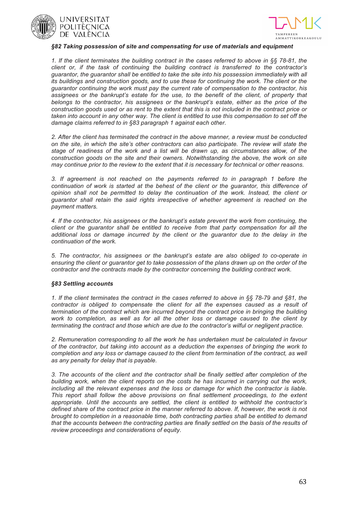



#### *§82 Taking possession of site and compensating for use of materials and equipment*

*1. If the client terminates the building contract in the cases referred to above in §§ 78-81, the client or, if the task of continuing the building contract is transferred to the contractor's guarantor, the guarantor shall be entitled to take the site into his possession immediately with all its buildings and construction goods, and to use these for continuing the work. The client or the guarantor continuing the work must pay the current rate of compensation to the contractor, his*  assignees or the bankrupt's estate for the use, to the benefit of the client, of property that *belongs to the contractor, his assignees or the bankrupt's estate, either as the price of the construction goods used or as rent to the extent that this is not included in the contract price or taken into account in any other way. The client is entitled to use this compensation to set off the damage claims referred to in §83 paragraph 1 against each other.*

*2. After the client has terminated the contract in the above manner, a review must be conducted on the site, in which the site's other contractors can also participate. The review will state the stage of readiness of the work and a list will be drawn up, as circumstances allow, of the construction goods on the site and their owners. Notwithstanding the above, the work on site may continue prior to the review to the extent that it is necessary for technical or other reasons.*

*3. If agreement is not reached on the payments referred to in paragraph 1 before the continuation of work is started at the behest of the client or the guarantor, this difference of opinion shall not be permitted to delay the continuation of the work. Instead, the client or guarantor shall retain the said rights irrespective of whether agreement is reached on the payment matters.*

*4. If the contractor, his assignees or the bankrupt's estate prevent the work from continuing, the client or the guarantor shall be entitled to receive from that party compensation for all the additional loss or damage incurred by the client or the guarantor due to the delay in the continuation of the work.*

*5. The contractor, his assignees or the bankrupt's estate are also obliged to co-operate in ensuring the client or guarantor get to take possession of the plans drawn up on the order of the contractor and the contracts made by the contractor concerning the building contract work.*

#### *§83 Settling accounts*

*1. If the client terminates the contract in the cases referred to above in §§ 78-79 and §81, the contractor is obliged to compensate the client for all the expenses caused as a result of termination of the contract which are incurred beyond the contract price in bringing the building work to completion, as well as for all the other loss or damage caused to the client by terminating the contract and those which are due to the contractor's wilful or negligent practice.*

*2. Remuneration corresponding to all the work he has undertaken must be calculated in favour of the contractor, but taking into account as a deduction the expenses of bringing the work to completion and any loss or damage caused to the client from termination of the contract, as well as any penalty for delay that is payable.*

*3. The accounts of the client and the contractor shall be finally settled after completion of the building work, when the client reports on the costs he has incurred in carrying out the work, including all the relevant expenses and the loss or damage for which the contractor is liable. This report shall follow the above provisions on final settlement proceedings, to the extent appropriate. Until the accounts are settled, the client is entitled to withhold the contractor's*  defined share of the contract price in the manner referred to above. If, however, the work is not *brought to completion in a reasonable time, both contracting parties shall be entitled to demand*  that the accounts between the contracting parties are finally settled on the basis of the results of *review proceedings and considerations of equity.*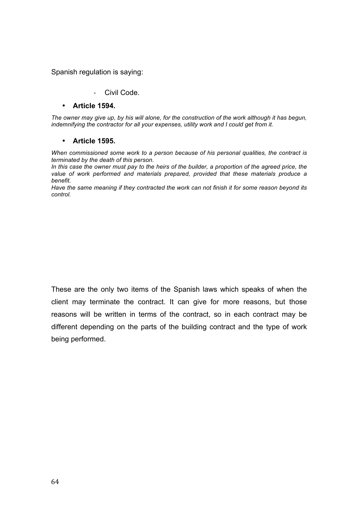### Spanish regulation is saying:

### - Civil Code.

### • **Article 1594.**

*The owner may give up, by his will alone, for the construction of the work although it has begun, indemnifying the contractor for all your expenses, utility work and I could get from it.*

### • **Article 1595.**

*When commissioned some work to a person because of his personal qualities, the contract is terminated by the death of this person.*

*In this case the owner must pay to the heirs of the builder, a proportion of the agreed price, the value of work performed and materials prepared, provided that these materials produce a benefit.*

*Have the same meaning if they contracted the work can not finish it for some reason beyond its control.*

These are the only two items of the Spanish laws which speaks of when the client may terminate the contract. It can give for more reasons, but those reasons will be written in terms of the contract, so in each contract may be different depending on the parts of the building contract and the type of work being performed.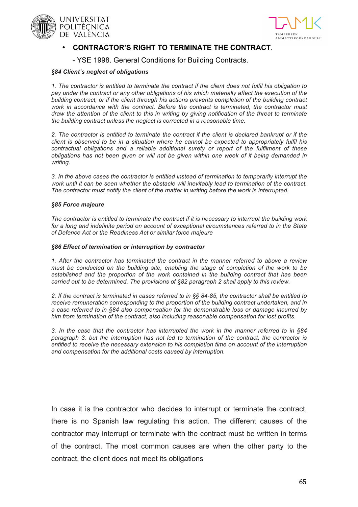





### • **CONTRACTOR'S RIGHT TO TERMINATE THE CONTRACT**.

- YSE 1998. General Conditions for Building Contracts.

#### *§84 Client's neglect of obligations*

*1. The contractor is entitled to terminate the contract if the client does not fulfil his obligation to pay under the contract or any other obligations of his which materially affect the execution of the building contract, or if the client through his actions prevents completion of the building contract*  work in accordance with the contract. Before the contract is terminated, the contractor must *draw the attention of the client to this in writing by giving notification of the threat to terminate the building contract unless the neglect is corrected in a reasonable time.*

*2. The contractor is entitled to terminate the contract if the client is declared bankrupt or if the client is observed to be in a situation where he cannot be expected to appropriately fulfil his contractual obligations and a reliable additional surety or report of the fulfilment of these obligations has not been given or will not be given within one week of it being demanded in writing.*

*3. In the above cases the contractor is entitled instead of termination to temporarily interrupt the work until it can be seen whether the obstacle will inevitably lead to termination of the contract. The contractor must notify the client of the matter in writing before the work is interrupted.*

#### *§85 Force majeure*

*The contractor is entitled to terminate the contract if it is necessary to interrupt the building work for a long and indefinite period on account of exceptional circumstances referred to in the State of Defence Act or the Readiness Act or similar force majeure*

#### *§86 Effect of termination or interruption by contractor*

*1. After the contractor has terminated the contract in the manner referred to above a review must be conducted on the building site, enabling the stage of completion of the work to be established and the proportion of the work contained in the building contract that has been carried out to be determined. The provisions of §82 paragraph 2 shall apply to this review.*

*2. If the contract is terminated in cases referred to in §§ 84-85, the contractor shall be entitled to*  receive remuneration corresponding to the proportion of the building contract undertaken, and in *a case referred to in §84 also compensation for the demonstrable loss or damage incurred by him from termination of the contract, also including reasonable compensation for lost profits.*

*3. In the case that the contractor has interrupted the work in the manner referred to in §84 paragraph 3, but the interruption has not led to termination of the contract, the contractor is entitled to receive the necessary extension to his completion time on account of the interruption and compensation for the additional costs caused by interruption.*

In case it is the contractor who decides to interrupt or terminate the contract, there is no Spanish law regulating this action. The different causes of the contractor may interrupt or terminate with the contract must be written in terms of the contract. The most common causes are when the other party to the contract, the client does not meet its obligations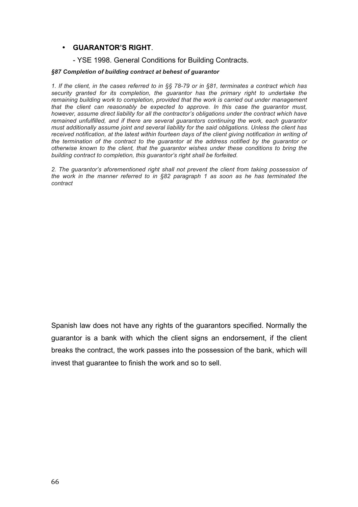### • **GUARANTOR'S RIGHT**.

### - YSE 1998. General Conditions for Building Contracts.

#### *§87 Completion of building contract at behest of guarantor*

*1. If the client, in the cases referred to in §§ 78-79 or in §81, terminates a contract which has security granted for its completion, the guarantor has the primary right to undertake the remaining building work to completion, provided that the work is carried out under management that the client can reasonably be expected to approve. In this case the guarantor must, however, assume direct liability for all the contractor's obligations under the contract which have remained unfulfilled, and if there are several guarantors continuing the work, each guarantor must additionally assume joint and several liability for the said obligations. Unless the client has received notification, at the latest within fourteen days of the client giving notification in writing of the termination of the contract to the guarantor at the address notified by the guarantor or otherwise known to the client, that the guarantor wishes under these conditions to bring the building contract to completion, this guarantor's right shall be forfeited.*

*2. The guarantor's aforementioned right shall not prevent the client from taking possession of the work in the manner referred to in §82 paragraph 1 as soon as he has terminated the contract*

Spanish law does not have any rights of the guarantors specified. Normally the guarantor is a bank with which the client signs an endorsement, if the client breaks the contract, the work passes into the possession of the bank, which will invest that guarantee to finish the work and so to sell.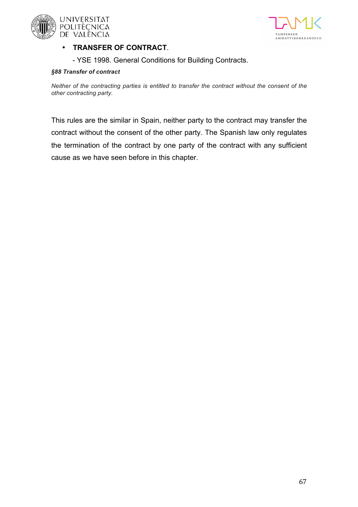



### • **TRANSFER OF CONTRACT**.

- YSE 1998. General Conditions for Building Contracts.

### *§88 Transfer of contract*

*Neither of the contracting parties is entitled to transfer the contract without the consent of the other contracting party.*

This rules are the similar in Spain, neither party to the contract may transfer the contract without the consent of the other party. The Spanish law only regulates the termination of the contract by one party of the contract with any sufficient cause as we have seen before in this chapter.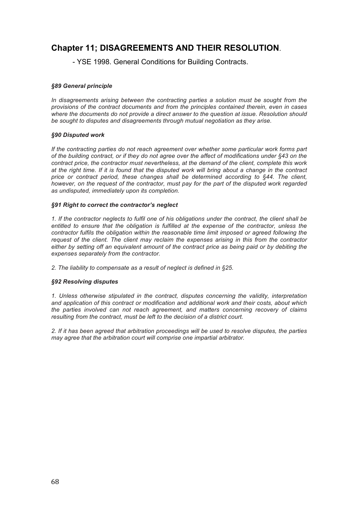## **Chapter 11; DISAGREEMENTS AND THEIR RESOLUTION**.

- YSE 1998. General Conditions for Building Contracts.

#### *§89 General principle*

In disagreements arising between the contracting parties a solution must be sought from the *provisions of the contract documents and from the principles contained therein, even in cases where the documents do not provide a direct answer to the question at issue. Resolution should be sought to disputes and disagreements through mutual negotiation as they arise.*

#### *§90 Disputed work*

*If the contracting parties do not reach agreement over whether some particular work forms part of the building contract, or if they do not agree over the affect of modifications under §43 on the contract price, the contractor must nevertheless, at the demand of the client, complete this work at the right time. If it is found that the disputed work will bring about a change in the contract*  price or contract period, these changes shall be determined according to §44. The client, *however, on the request of the contractor, must pay for the part of the disputed work regarded as undisputed, immediately upon its completion.*

#### *§91 Right to correct the contractor's neglect*

*1. If the contractor neglects to fulfil one of his obligations under the contract, the client shall be entitled to ensure that the obligation is fulfilled at the expense of the contractor, unless the contractor fulfils the obligation within the reasonable time limit imposed or agreed following the request of the client. The client may reclaim the expenses arising in this from the contractor*  either by setting off an equivalent amount of the contract price as being paid or by debiting the *expenses separately from the contractor.*

*2. The liability to compensate as a result of neglect is defined in §25.*

#### *§92 Resolving disputes*

*1. Unless otherwise stipulated in the contract, disputes concerning the validity, interpretation and application of this contract or modification and additional work and their costs, about which the parties involved can not reach agreement, and matters concerning recovery of claims resulting from the contract, must be left to the decision of a district court.*

2. If it has been agreed that arbitration proceedings will be used to resolve disputes, the parties *may agree that the arbitration court will comprise one impartial arbitrator.*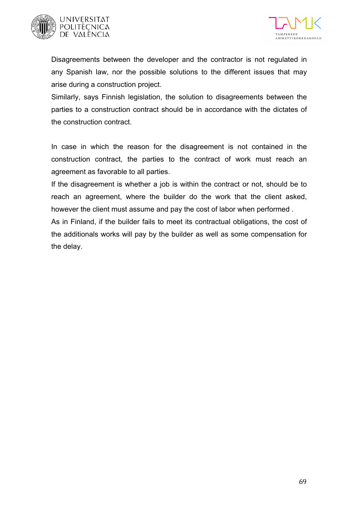



Disagreements between the developer and the contractor is not regulated in any Spanish law, nor the possible solutions to the different issues that may arise during a construction project.

Similarly, says Finnish legislation, the solution to disagreements between the parties to a construction contract should be in accordance with the dictates of the construction contract.

In case in which the reason for the disagreement is not contained in the construction contract, the parties to the contract of work must reach an agreement as favorable to all parties.

If the disagreement is whether a job is within the contract or not, should be to reach an agreement, where the builder do the work that the client asked, however the client must assume and pay the cost of labor when performed .

As in Finland, if the builder fails to meet its contractual obligations, the cost of the additionals works will pay by the builder as well as some compensation for the delay.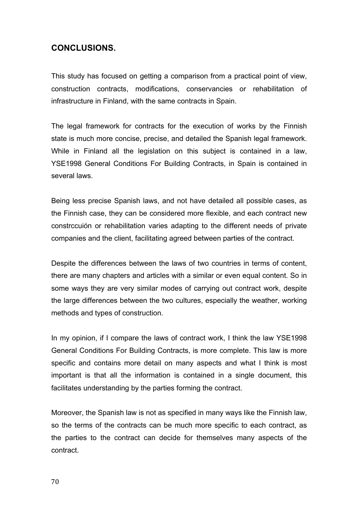## **CONCLUSIONS.**

This study has focused on getting a comparison from a practical point of view, construction contracts, modifications, conservancies or rehabilitation of infrastructure in Finland, with the same contracts in Spain.

The legal framework for contracts for the execution of works by the Finnish state is much more concise, precise, and detailed the Spanish legal framework. While in Finland all the legislation on this subject is contained in a law, YSE1998 General Conditions For Building Contracts, in Spain is contained in several laws.

Being less precise Spanish laws, and not have detailed all possible cases, as the Finnish case, they can be considered more flexible, and each contract new constrccuión or rehabilitation varies adapting to the different needs of private companies and the client, facilitating agreed between parties of the contract.

Despite the differences between the laws of two countries in terms of content, there are many chapters and articles with a similar or even equal content. So in some ways they are very similar modes of carrying out contract work, despite the large differences between the two cultures, especially the weather, working methods and types of construction.

In my opinion, if I compare the laws of contract work, I think the law YSE1998 General Conditions For Building Contracts, is more complete. This law is more specific and contains more detail on many aspects and what I think is most important is that all the information is contained in a single document, this facilitates understanding by the parties forming the contract.

Moreover, the Spanish law is not as specified in many ways like the Finnish law, so the terms of the contracts can be much more specific to each contract, as the parties to the contract can decide for themselves many aspects of the contract.